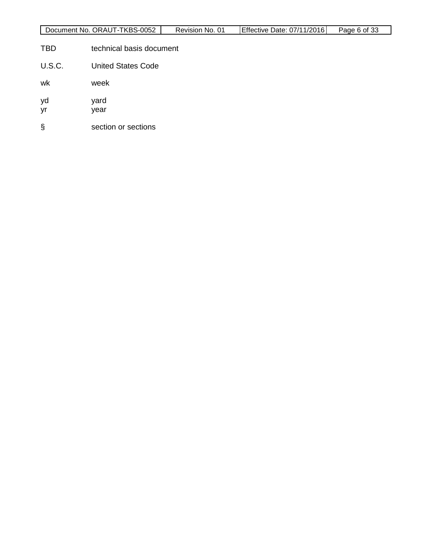| Document No. ORAUT-TKBS-0052 | Revision No. 01 | <b>Effective Date: 07/11/2016</b> | Page 6 of 33 |
|------------------------------|-----------------|-----------------------------------|--------------|

- TBD technical basis document
- U.S.C. United States Code
- wk week
- yd yard<br>yr year
- year
- § section or sections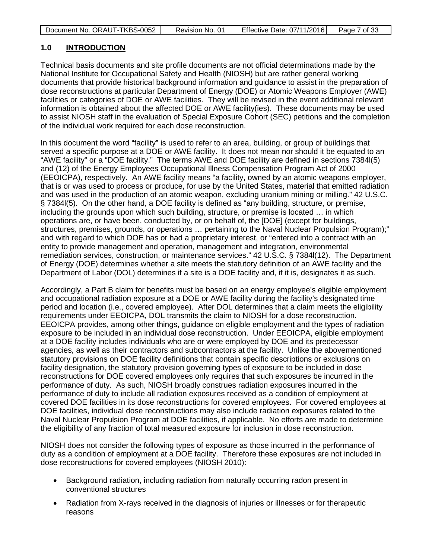| Document No. ORAUT-TKBS-0052 | Revision No. 01 | Effective Date: 07/11/2016 | Page 7 of 33 |
|------------------------------|-----------------|----------------------------|--------------|
|                              |                 |                            |              |

## **1.0 INTRODUCTION**

Technical basis documents and site profile documents are not official determinations made by the National Institute for Occupational Safety and Health (NIOSH) but are rather general working documents that provide historical background information and guidance to assist in the preparation of dose reconstructions at particular Department of Energy (DOE) or Atomic Weapons Employer (AWE) facilities or categories of DOE or AWE facilities. They will be revised in the event additional relevant information is obtained about the affected DOE or AWE facility(ies). These documents may be used to assist NIOSH staff in the evaluation of Special Exposure Cohort (SEC) petitions and the completion of the individual work required for each dose reconstruction.

In this document the word "facility" is used to refer to an area, building, or group of buildings that served a specific purpose at a DOE or AWE facility. It does not mean nor should it be equated to an "AWE facility" or a "DOE facility." The terms AWE and DOE facility are defined in sections 7384l(5) and (12) of the Energy Employees Occupational Illness Compensation Program Act of 2000 (EEOICPA), respectively. An AWE facility means "a facility, owned by an atomic weapons employer, that is or was used to process or produce, for use by the United States, material that emitted radiation and was used in the production of an atomic weapon, excluding uranium mining or milling." 42 U.S.C. § 7384l(5). On the other hand, a DOE facility is defined as "any building, structure, or premise, including the grounds upon which such building, structure, or premise is located … in which operations are, or have been, conducted by, or on behalf of, the [DOE] (except for buildings, structures, premises, grounds, or operations … pertaining to the Naval Nuclear Propulsion Program);" and with regard to which DOE has or had a proprietary interest, or "entered into a contract with an entity to provide management and operation, management and integration, environmental remediation services, construction, or maintenance services." 42 U.S.C. § 7384l(12). The Department of Energy (DOE) determines whether a site meets the statutory definition of an AWE facility and the Department of Labor (DOL) determines if a site is a DOE facility and, if it is, designates it as such.

Accordingly, a Part B claim for benefits must be based on an energy employee's eligible employment and occupational radiation exposure at a DOE or AWE facility during the facility's designated time period and location (i.e., covered employee). After DOL determines that a claim meets the eligibility requirements under EEOICPA, DOL transmits the claim to NIOSH for a dose reconstruction. EEOICPA provides, among other things, guidance on eligible employment and the types of radiation exposure to be included in an individual dose reconstruction. Under EEOICPA, eligible employment at a DOE facility includes individuals who are or were employed by DOE and its predecessor agencies, as well as their contractors and subcontractors at the facility. Unlike the abovementioned statutory provisions on DOE facility definitions that contain specific descriptions or exclusions on facility designation, the statutory provision governing types of exposure to be included in dose reconstructions for DOE covered employees only requires that such exposures be incurred in the performance of duty. As such, NIOSH broadly construes radiation exposures incurred in the performance of duty to include all radiation exposures received as a condition of employment at covered DOE facilities in its dose reconstructions for covered employees. For covered employees at DOE facilities, individual dose reconstructions may also include radiation exposures related to the Naval Nuclear Propulsion Program at DOE facilities, if applicable. No efforts are made to determine the eligibility of any fraction of total measured exposure for inclusion in dose reconstruction.

NIOSH does not consider the following types of exposure as those incurred in the performance of duty as a condition of employment at a DOE facility. Therefore these exposures are not included in dose reconstructions for covered employees (NIOSH 2010):

- Background radiation, including radiation from naturally occurring radon present in conventional structures
- Radiation from X-rays received in the diagnosis of injuries or illnesses or for therapeutic reasons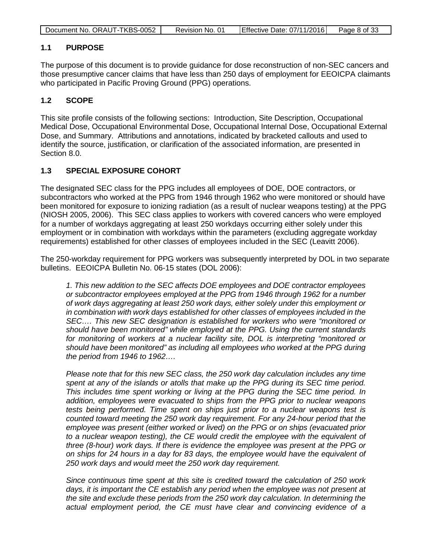| Document No. ORAUT-TKBS-0052 | Revision No. 01 | Effective Date: 07/11/2016 | Page 8 of 33 |
|------------------------------|-----------------|----------------------------|--------------|
|                              |                 |                            |              |

## **1.1 PURPOSE**

The purpose of this document is to provide guidance for dose reconstruction of non-SEC cancers and those presumptive cancer claims that have less than 250 days of employment for EEOICPA claimants who participated in Pacific Proving Ground (PPG) operations.

## **1.2 SCOPE**

This site profile consists of the following sections: Introduction, Site Description, Occupational Medical Dose, Occupational Environmental Dose, Occupational Internal Dose, Occupational External Dose, and Summary. Attributions and annotations, indicated by bracketed callouts and used to identify the source, justification, or clarification of the associated information, are presented in Section 8.0.

## **1.3 SPECIAL EXPOSURE COHORT**

The designated SEC class for the PPG includes all employees of DOE, DOE contractors, or subcontractors who worked at the PPG from 1946 through 1962 who were monitored or should have been monitored for exposure to ionizing radiation (as a result of nuclear weapons testing) at the PPG (NIOSH 2005, 2006). This SEC class applies to workers with covered cancers who were employed for a number of workdays aggregating at least 250 workdays occurring either solely under this employment or in combination with workdays within the parameters (excluding aggregate workday requirements) established for other classes of employees included in the SEC (Leavitt 2006).

The 250-workday requirement for PPG workers was subsequently interpreted by DOL in two separate bulletins. EEOICPA Bulletin No. 06-15 states (DOL 2006):

*1. This new addition to the SEC affects DOE employees and DOE contractor employees or subcontractor employees employed at the PPG from 1946 through 1962 for a number of work days aggregating at least 250 work days, either solely under this employment or in combination with work days established for other classes of employees included in the SEC…. This new SEC designation is established for workers who were "monitored or should have been monitored" while employed at the PPG. Using the current standards for monitoring of workers at a nuclear facility site, DOL is interpreting "monitored or should have been monitored" as including all employees who worked at the PPG during the period from 1946 to 1962….* 

*Please note that for this new SEC class, the 250 work day calculation includes any time spent at any of the islands or atolls that make up the PPG during its SEC time period. This includes time spent working or living at the PPG during the SEC time period. In addition, employees were evacuated to ships from the PPG prior to nuclear weapons tests being performed. Time spent on ships just prior to a nuclear weapons test is counted toward meeting the 250 work day requirement. For any 24-hour period that the employee was present (either worked or lived) on the PPG or on ships (evacuated prior*  to a nuclear weapon testing), the CE would credit the employee with the equivalent of *three (8-hour) work days. If there is evidence the employee was present at the PPG or on ships for 24 hours in a day for 83 days, the employee would have the equivalent of 250 work days and would meet the 250 work day requirement.* 

*Since continuous time spent at this site is credited toward the calculation of 250 work days, it is important the CE establish any period when the employee was not present at the site and exclude these periods from the 250 work day calculation. In determining the actual employment period, the CE must have clear and convincing evidence of a*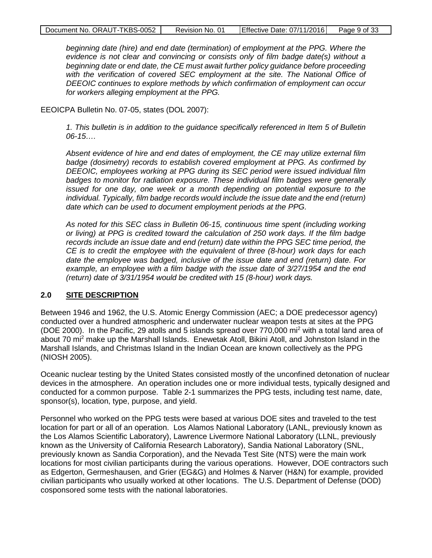| Document No. ORAUT-TKBS-0052 | Revision No. 01 | <b>IEffective Date: 07/11/2016</b> | Page 9 of 33 |
|------------------------------|-----------------|------------------------------------|--------------|
|------------------------------|-----------------|------------------------------------|--------------|

*beginning date (hire) and end date (termination) of employment at the PPG. Where the evidence is not clear and convincing or consists only of film badge date(s) without a beginning date or end date, the CE must await further policy guidance before proceeding with the verification of covered SEC employment at the site. The National Office of DEEOIC continues to explore methods by which confirmation of employment can occur for workers alleging employment at the PPG.*

EEOICPA Bulletin No. 07-05, states (DOL 2007):

*1. This bulletin is in addition to the guidance specifically referenced in Item 5 of Bulletin 06-15….* 

*Absent evidence of hire and end dates of employment, the CE may utilize external film badge (dosimetry) records to establish covered employment at PPG. As confirmed by DEEOIC, employees working at PPG during its SEC period were issued individual film badges to monitor for radiation exposure. These individual film badges were generally issued for one day, one week or a month depending on potential exposure to the individual. Typically, film badge records would include the issue date and the end (return) date which can be used to document employment periods at the PPG.* 

*As noted for this SEC class in Bulletin 06-15, continuous time spent (including working or living) at PPG is credited toward the calculation of 250 work days. If the film badge records include an issue date and end (return) date within the PPG SEC time period, the CE is to credit the employee with the equivalent of three (8-hour) work days for each date the employee was badged, inclusive of the issue date and end (return) date. For example, an employee with a film badge with the issue date of 3/27/1954 and the end (return) date of 3/31/1954 would be credited with 15 (8-hour) work days.*

## **2.0 SITE DESCRIPTION**

Between 1946 and 1962, the U.S. Atomic Energy Commission (AEC; a DOE predecessor agency) conducted over a hundred atmospheric and underwater nuclear weapon tests at sites at the PPG (DOE 2000). In the Pacific, 29 atolls and 5 islands spread over 770,000 mi2 with a total land area of about 70 mi<sup>2</sup> make up the Marshall Islands. Enewetak Atoll, Bikini Atoll, and Johnston Island in the Marshall Islands, and Christmas Island in the Indian Ocean are known collectively as the PPG (NIOSH 2005).

Oceanic nuclear testing by the United States consisted mostly of the unconfined detonation of nuclear devices in the atmosphere. An operation includes one or more individual tests, typically designed and conducted for a common purpose. Table 2-1 summarizes the PPG tests, including test name, date, sponsor(s), location, type, purpose, and yield.

Personnel who worked on the PPG tests were based at various DOE sites and traveled to the test location for part or all of an operation. Los Alamos National Laboratory (LANL, previously known as the Los Alamos Scientific Laboratory), Lawrence Livermore National Laboratory (LLNL, previously known as the University of California Research Laboratory), Sandia National Laboratory (SNL, previously known as Sandia Corporation), and the Nevada Test Site (NTS) were the main work locations for most civilian participants during the various operations. However, DOE contractors such as Edgerton, Germeshausen, and Grier (EG&G) and Holmes & Narver (H&N) for example, provided civilian participants who usually worked at other locations. The U.S. Department of Defense (DOD) cosponsored some tests with the national laboratories.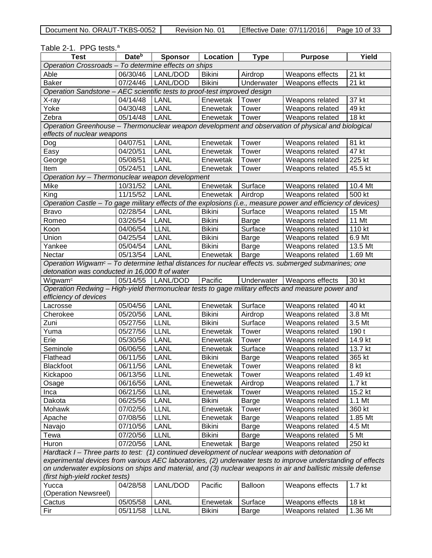| Document No. ORAUT-TKBS-0052 |
|------------------------------|
|------------------------------|

Revision No. 01 Effective Date:  $07/11/2016$  Page 10 of 33

Table 2-1. PPG tests.<sup>a</sup>

| $2000 + 110000$<br><b>Test</b>                                                                                  | Date <sup>b</sup> | <b>Sponsor</b> | Location      | <b>Type</b>  | <b>Purpose</b>         | Yield             |
|-----------------------------------------------------------------------------------------------------------------|-------------------|----------------|---------------|--------------|------------------------|-------------------|
| Operation Crossroads - To determine effects on ships                                                            |                   |                |               |              |                        |                   |
| Able                                                                                                            | 06/30/46          | LANL/DOD       | <b>Bikini</b> | Airdrop      | Weapons effects        | 21 kt             |
| <b>Baker</b>                                                                                                    | 07/24/46          | LANL/DOD       | <b>Bikini</b> | Underwater   | Weapons effects        | 21 kt             |
| Operation Sandstone - AEC scientific tests to proof-test improved design                                        |                   |                |               |              |                        |                   |
| X-ray                                                                                                           | 04/14/48          | <b>LANL</b>    | Enewetak      | Tower        | Weapons related        | 37 kt             |
| Yoke                                                                                                            | 04/30/48          | LANL           | Enewetak      | Tower        | Weapons related        | 49 kt             |
| Zebra                                                                                                           | 05/14/48          | <b>LANL</b>    | Enewetak      | Tower        | Weapons related        | 18 kt             |
| Operation Greenhouse - Thermonuclear weapon development and observation of physical and biological              |                   |                |               |              |                        |                   |
| effects of nuclear weapons                                                                                      |                   |                |               |              |                        |                   |
| Dog                                                                                                             | 04/07/51          | <b>LANL</b>    | Enewetak      | Tower        | Weapons related        | 81 kt             |
| Easy                                                                                                            | 04/20/51          | <b>LANL</b>    | Enewetak      | <b>Tower</b> | Weapons related        | 47 kt             |
| George                                                                                                          | 05/08/51          | <b>LANL</b>    | Enewetak      | Tower        | Weapons related        | 225 kt            |
| Item                                                                                                            | 05/24/51          | <b>LANL</b>    | Enewetak      | Tower        | Weapons related        | 45.5 kt           |
| Operation Ivy - Thermonuclear weapon development                                                                |                   |                |               |              |                        |                   |
| Mike                                                                                                            | 10/31/52          | <b>LANL</b>    | Enewetak      | Surface      | Weapons related        | 10.4 Mt           |
| King                                                                                                            | 11/15/52          | <b>LANL</b>    | Enewetak      | Airdrop      | Weapons related        | 500 kt            |
| Operation Castle - To gage military effects of the explosions (i.e., measure power and efficiency of devices)   |                   |                |               |              |                        |                   |
| <b>Bravo</b>                                                                                                    | 02/28/54          | <b>LANL</b>    | <b>Bikini</b> | Surface      | Weapons related        | 15 Mt             |
| Romeo                                                                                                           | 03/26/54          | <b>LANL</b>    | <b>Bikini</b> | <b>Barge</b> | Weapons related        | 11 Mt             |
| Koon                                                                                                            | 04/06/54          | <b>LLNL</b>    | <b>Bikini</b> | Surface      | Weapons related        | 110 kt            |
| Union                                                                                                           | 04/25/54          | <b>LANL</b>    | <b>Bikini</b> | Barge        | Weapons related        | 6.9 Mt            |
| Yankee                                                                                                          | 05/04/54          | <b>LANL</b>    | <b>Bikini</b> | Barge        | Weapons related        | 13.5 Mt           |
| Nectar                                                                                                          | 05/13/54          | <b>LANL</b>    | Enewetak      | Barge        | Weapons related        | 1.69 Mt           |
| Operation Wigwam <sup>c</sup> - To determine lethal distances for nuclear effects vs. submerged submarines; one |                   |                |               |              |                        |                   |
| detonation was conducted in 16,000 ft of water                                                                  |                   |                |               |              |                        |                   |
| Wigwam <sup>c</sup>                                                                                             | 05/14/55          | LANL/DOD       | Pacific       | Underwater   | <b>Weapons effects</b> | 30 kt             |
| Operation Redwing - High-yield thermonuclear tests to gage military effects and measure power and               |                   |                |               |              |                        |                   |
| efficiency of devices                                                                                           |                   |                |               |              |                        |                   |
| Lacrosse                                                                                                        | 05/04/56          | <b>LANL</b>    | Enewetak      | Surface      | Weapons related        | 40 kt             |
| Cherokee                                                                                                        | 05/20/56          | <b>LANL</b>    | <b>Bikini</b> | Airdrop      | Weapons related        | 3.8 Mt            |
| Zuni                                                                                                            | 05/27/56          | <b>LLNL</b>    | <b>Bikini</b> | Surface      | Weapons related        | 3.5 Mt            |
| Yuma                                                                                                            | 05/27/56          | <b>LLNL</b>    | Enewetak      | Tower        | Weapons related        | 190 t             |
| Erie                                                                                                            | 05/30/56          | <b>LANL</b>    | Enewetak      | Tower        | Weapons related        | 14.9 kt           |
| Seminole                                                                                                        | 06/06/56          | <b>LANL</b>    | Enewetak      | Surface      | Weapons related        | 13.7 kt           |
| Flathead                                                                                                        | 06/11/56          | LANL           | <b>Bikini</b> | <b>Barge</b> | Weapons related        | 365 kt            |
| Blackfoot                                                                                                       | 06/11/56          | LANL           | Enewetak      | Tower        | Weapons related        | 8 kt              |
| Kickapoo                                                                                                        | 06/13/56          | LLNL           | Enewetak      | Tower        | Weapons related        | 1.49 kt           |
| Osage                                                                                                           | 06/16/56          | LANL           | Enewetak      | Airdrop      | Weapons related        | 1.7 <sub>kt</sub> |
| Inca                                                                                                            | 06/21/56          | <b>LLNL</b>    | Enewetak      | Tower        | Weapons related        | 15.2 kt           |
| Dakota                                                                                                          | 06/25/56          | LANL           | <b>Bikini</b> | <b>Barge</b> | Weapons related        | 1.1 Mt            |
| Mohawk                                                                                                          | 07/02/56          | <b>LLNL</b>    | Enewetak      | Tower        | Weapons related        | 360 kt            |
| Apache                                                                                                          | 07/08/56          | <b>LLNL</b>    | Enewetak      | <b>Barge</b> | Weapons related        | 1.85 Mt           |
| Navajo                                                                                                          | 07/10/56          | LANL           | <b>Bikini</b> | <b>Barge</b> | Weapons related        | 4.5 Mt            |
| Tewa                                                                                                            | 07/20/56          | <b>LLNL</b>    | <b>Bikini</b> | <b>Barge</b> | Weapons related        | 5 Mt              |
| Huron                                                                                                           | 07/20/56          | LANL           | Enewetak      | Barge        | Weapons related        | 250 kt            |
| Hardtack I – Three parts to test: (1) continued development of nuclear weapons with detonation of               |                   |                |               |              |                        |                   |
| experimental devices from various AEC laboratories, (2) underwater tests to improve understanding of effects    |                   |                |               |              |                        |                   |
| on underwater explosions on ships and material, and (3) nuclear weapons in air and ballistic missile defense    |                   |                |               |              |                        |                   |
| (first high-yield rocket tests)                                                                                 |                   |                |               |              |                        |                   |
| Yucca                                                                                                           | 04/28/58          | LANL/DOD       | Pacific       | Balloon      | Weapons effects        | 1.7 <sub>kt</sub> |
| (Operation Newsreel)                                                                                            |                   |                |               |              |                        |                   |
| Cactus                                                                                                          | 05/05/58          | LANL           | Enewetak      | Surface      | Weapons effects        | 18 kt             |
| Fir                                                                                                             | 05/11/58          | <b>LLNL</b>    | <b>Bikini</b> | <b>Barge</b> | Weapons related        | 1.36 Mt           |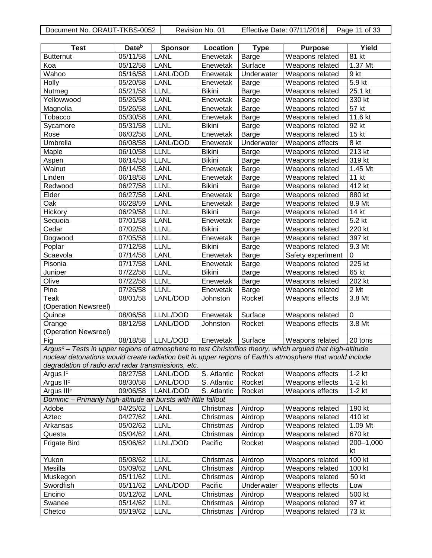| 05/11/58<br><b>LANL</b><br>Weapons related<br>81 kt<br><b>Butternut</b><br>Enewetak<br><b>Barge</b><br>Koa<br>05/12/58<br><b>LANL</b><br>Weapons related<br>1.37 Mt<br>Enewetak<br>Surface<br>LANL/DOD<br>Wahoo<br>05/16/58<br>Underwater<br>Weapons related<br>9 kt<br>Enewetak<br>5.9 kt<br>Holly<br><b>LANL</b><br>05/20/58<br>Enewetak<br>Weapons related<br>Barge<br>$25.1$ kt<br>05/21/58<br><b>LLNL</b><br>Nutmeg<br><b>Bikini</b><br>Weapons related<br>Barge<br>Yellowwood<br><b>LANL</b><br>330 kt<br>05/26/58<br>Weapons related<br>Enewetak<br>Barge<br><b>LANL</b><br>57 kt<br>Magnolia<br>05/26/58<br>Enewetak<br>Weapons related<br><b>Barge</b><br>11.6 kt<br><b>LANL</b><br>Tobacco<br>05/30/58<br>Enewetak<br>Weapons related<br><b>Barge</b><br><b>LLNL</b><br><b>Bikini</b><br>92 kt<br>Sycamore<br>05/31/58<br>Weapons related<br>Barge<br><b>LANL</b><br>15 kt<br>06/02/58<br>Weapons related<br>Rose<br>Enewetak<br><b>Barge</b><br>Umbrella<br>LANL/DOD<br>8 kt<br>06/08/58<br>Enewetak<br>Underwater<br>Weapons effects<br>213 kt<br><b>LLNL</b><br><b>Bikini</b><br>Maple<br>06/10/58<br>Weapons related<br>Barge<br><b>LLNL</b><br>06/14/58<br><b>Bikini</b><br>319 kt<br>Weapons related<br>Aspen<br><b>Barge</b><br>Walnut<br><b>LANL</b><br>1.45 Mt<br>06/14/58<br>Enewetak<br>Weapons related<br><b>Barge</b><br>11 kt<br><b>LANL</b><br>Linden<br>06/18/58<br>Enewetak<br>Weapons related<br>Barge<br>412 kt<br>Redwood<br>06/27/58<br><b>LLNL</b><br><b>Bikini</b><br>Weapons related<br>Barge<br>Elder<br>880 kt<br>06/27/58<br><b>LANL</b><br>Weapons related<br>Enewetak<br>Barge<br><b>LANL</b><br>8.9 Mt<br>Oak<br>06/28/59<br>Weapons related<br>Enewetak<br>Barge<br>14 kt<br>Hickory<br>06/29/58<br><b>LLNL</b><br><b>Bikini</b><br>Weapons related<br><b>Barge</b><br>$5.2$ kt<br>07/01/58<br><b>LANL</b><br>Enewetak<br>Weapons related<br>Sequoia<br><b>Barge</b><br>Cedar<br><b>LLNL</b><br>220 kt<br>07/02/58<br><b>Bikini</b><br>Weapons related<br><b>Barge</b><br><b>LLNL</b><br>397 kt<br>07/05/58<br>Weapons related<br>Dogwood<br>Enewetak<br><b>Barge</b><br>Poplar<br>07/12/58<br><b>LLNL</b><br>9.3 Mt<br><b>Bikini</b><br>Weapons related<br><b>Barge</b><br>07/14/58<br><b>LANL</b><br>Scaevola<br>Enewetak<br>Safety experiment<br>$\Omega$<br><b>Barge</b><br>Pisonia<br><b>LANL</b><br>07/17/58<br>Weapons related<br>225 kt<br>Enewetak<br><b>Barge</b><br>07/22/58<br><b>LLNL</b><br>65 kt<br>Juniper<br><b>Bikini</b><br>Weapons related<br><b>Barge</b><br>Olive<br>07/22/58<br><b>LLNL</b><br>Weapons related<br>202 kt<br>Enewetak<br>Barge<br>Pine<br>07/26/58<br><b>LLNL</b><br>Weapons related<br>2 Mt<br>Enewetak<br><b>Barge</b><br>Teak<br>LANL/DOD<br>3.8 Mt<br>08/01/58<br>Weapons effects<br>Johnston<br>Rocket<br>(Operation Newsreel)<br>08/06/58<br>LLNL/DOD<br>Surface<br>$\mathbf 0$<br>Quince<br>Enewetak<br>Weapons related<br>3.8 Mt<br>08/12/58<br>LANL/DOD<br>Weapons effects<br>Orange<br>Johnston<br>Rocket<br>(Operation Newsreel)<br>LLNL/DOD<br>08/18/58<br>Enewetak<br>Surface<br>Fig<br>Weapons related<br>20 tons<br>Argus <sup>c</sup> - Tests in upper regions of atmosphere to test Christofilos theory, which argued that high-altitude<br>nuclear detonations would create radiation belt in upper regions of Earth's atmosphere that would include<br>degradation of radio and radar transmissions, etc.<br>$1-2$ kt<br>Argus I <sup>c</sup><br>08/27/58<br>LANL/DOD<br>S. Atlantic<br>Rocket<br>Weapons effects<br>Argus II <sup>c</sup><br>S. Atlantic<br>Rocket<br>Weapons effects<br>$1-2$ kt<br>08/30/58<br>LANL/DOD<br>Argus III <sup>c</sup><br>09/06/58<br>LANL/DOD<br>S. Atlantic<br>Weapons effects<br>$1-2$ kt<br>Rocket<br>Dominic - Primarily high-altitude air bursts with little fallout<br><b>LANL</b><br>190 kt<br>04/25/62<br>Christmas<br>Airdrop<br>Weapons related<br>Adobe<br>Weapons related<br>410 kt<br>04/27/62<br><b>LANL</b><br>Airdrop<br>Aztec<br>Christmas<br><b>LLNL</b><br>1.09 Mt<br>05/02/62<br>Christmas<br>Airdrop<br>Weapons related<br>Arkansas<br>Weapons related<br>670 kt<br>05/04/62<br><b>LANL</b><br>Christmas<br>Airdrop<br>Questa<br><b>Frigate Bird</b><br>05/06/62<br>LLNL/DOD<br>Pacific<br>Rocket<br>Weapons related<br>200-1,000<br>kt<br><b>LLNL</b><br>100 kt<br>Yukon<br>05/08/62<br>Airdrop<br>Weapons related<br>Christmas<br>Mesilla<br>05/09/62<br>LANL<br>Airdrop<br>Weapons related<br>100 kt<br>Christmas<br>50 kt<br>05/11/62<br><b>LLNL</b><br>Christmas<br>Airdrop<br>Weapons related<br>Muskegon<br>05/11/62<br>LANL/DOD<br>Weapons effects<br>Swordfish<br>Pacific<br>Underwater<br>Low<br>05/12/62<br>LANL<br>Weapons related<br>Encino<br>Christmas<br>Airdrop<br>500 kt<br>05/14/62<br><b>LLNL</b><br>Airdrop<br>Weapons related<br>97 kt<br>Christmas<br>Swanee | <b>Test</b> | Date <sup>b</sup> | <b>Sponsor</b> | Location  | <b>Type</b> | <b>Purpose</b>  | Yield |
|-------------------------------------------------------------------------------------------------------------------------------------------------------------------------------------------------------------------------------------------------------------------------------------------------------------------------------------------------------------------------------------------------------------------------------------------------------------------------------------------------------------------------------------------------------------------------------------------------------------------------------------------------------------------------------------------------------------------------------------------------------------------------------------------------------------------------------------------------------------------------------------------------------------------------------------------------------------------------------------------------------------------------------------------------------------------------------------------------------------------------------------------------------------------------------------------------------------------------------------------------------------------------------------------------------------------------------------------------------------------------------------------------------------------------------------------------------------------------------------------------------------------------------------------------------------------------------------------------------------------------------------------------------------------------------------------------------------------------------------------------------------------------------------------------------------------------------------------------------------------------------------------------------------------------------------------------------------------------------------------------------------------------------------------------------------------------------------------------------------------------------------------------------------------------------------------------------------------------------------------------------------------------------------------------------------------------------------------------------------------------------------------------------------------------------------------------------------------------------------------------------------------------------------------------------------------------------------------------------------------------------------------------------------------------------------------------------------------------------------------------------------------------------------------------------------------------------------------------------------------------------------------------------------------------------------------------------------------------------------------------------------------------------------------------------------------------------------------------------------------------------------------------------------------------------------------------------------------------------------------------------------------------------------------------------------------------------------------------------------------------------------------------------------------------------------------------------------------------------------------------------------------------------------------------------------------------------------------------------------------------------------------------------------------------------------------------------------------------------------------------------------------------------------------------------------------------------------------------------------------------------------------------------------------------------------------------------------------------------------------------------------------------------------------------------------------------------------------------------------------------------------------------------------------------------------------------------------------------------------------------------------------------------------------------------------------------------------------------------------------------------------------------------------------------------------------------------------------------------------------------------------------------------------------------------------------------------------------------------------------------------------------------------------------------------------------------------------------------------------------------------------------------------------------------------------------------------------------|-------------|-------------------|----------------|-----------|-------------|-----------------|-------|
|                                                                                                                                                                                                                                                                                                                                                                                                                                                                                                                                                                                                                                                                                                                                                                                                                                                                                                                                                                                                                                                                                                                                                                                                                                                                                                                                                                                                                                                                                                                                                                                                                                                                                                                                                                                                                                                                                                                                                                                                                                                                                                                                                                                                                                                                                                                                                                                                                                                                                                                                                                                                                                                                                                                                                                                                                                                                                                                                                                                                                                                                                                                                                                                                                                                                                                                                                                                                                                                                                                                                                                                                                                                                                                                                                                                                                                                                                                                                                                                                                                                                                                                                                                                                                                                                                                                                                                                                                                                                                                                                                                                                                                                                                                                                                                                                                                           |             |                   |                |           |             |                 |       |
|                                                                                                                                                                                                                                                                                                                                                                                                                                                                                                                                                                                                                                                                                                                                                                                                                                                                                                                                                                                                                                                                                                                                                                                                                                                                                                                                                                                                                                                                                                                                                                                                                                                                                                                                                                                                                                                                                                                                                                                                                                                                                                                                                                                                                                                                                                                                                                                                                                                                                                                                                                                                                                                                                                                                                                                                                                                                                                                                                                                                                                                                                                                                                                                                                                                                                                                                                                                                                                                                                                                                                                                                                                                                                                                                                                                                                                                                                                                                                                                                                                                                                                                                                                                                                                                                                                                                                                                                                                                                                                                                                                                                                                                                                                                                                                                                                                           |             |                   |                |           |             |                 |       |
|                                                                                                                                                                                                                                                                                                                                                                                                                                                                                                                                                                                                                                                                                                                                                                                                                                                                                                                                                                                                                                                                                                                                                                                                                                                                                                                                                                                                                                                                                                                                                                                                                                                                                                                                                                                                                                                                                                                                                                                                                                                                                                                                                                                                                                                                                                                                                                                                                                                                                                                                                                                                                                                                                                                                                                                                                                                                                                                                                                                                                                                                                                                                                                                                                                                                                                                                                                                                                                                                                                                                                                                                                                                                                                                                                                                                                                                                                                                                                                                                                                                                                                                                                                                                                                                                                                                                                                                                                                                                                                                                                                                                                                                                                                                                                                                                                                           |             |                   |                |           |             |                 |       |
|                                                                                                                                                                                                                                                                                                                                                                                                                                                                                                                                                                                                                                                                                                                                                                                                                                                                                                                                                                                                                                                                                                                                                                                                                                                                                                                                                                                                                                                                                                                                                                                                                                                                                                                                                                                                                                                                                                                                                                                                                                                                                                                                                                                                                                                                                                                                                                                                                                                                                                                                                                                                                                                                                                                                                                                                                                                                                                                                                                                                                                                                                                                                                                                                                                                                                                                                                                                                                                                                                                                                                                                                                                                                                                                                                                                                                                                                                                                                                                                                                                                                                                                                                                                                                                                                                                                                                                                                                                                                                                                                                                                                                                                                                                                                                                                                                                           |             |                   |                |           |             |                 |       |
|                                                                                                                                                                                                                                                                                                                                                                                                                                                                                                                                                                                                                                                                                                                                                                                                                                                                                                                                                                                                                                                                                                                                                                                                                                                                                                                                                                                                                                                                                                                                                                                                                                                                                                                                                                                                                                                                                                                                                                                                                                                                                                                                                                                                                                                                                                                                                                                                                                                                                                                                                                                                                                                                                                                                                                                                                                                                                                                                                                                                                                                                                                                                                                                                                                                                                                                                                                                                                                                                                                                                                                                                                                                                                                                                                                                                                                                                                                                                                                                                                                                                                                                                                                                                                                                                                                                                                                                                                                                                                                                                                                                                                                                                                                                                                                                                                                           |             |                   |                |           |             |                 |       |
|                                                                                                                                                                                                                                                                                                                                                                                                                                                                                                                                                                                                                                                                                                                                                                                                                                                                                                                                                                                                                                                                                                                                                                                                                                                                                                                                                                                                                                                                                                                                                                                                                                                                                                                                                                                                                                                                                                                                                                                                                                                                                                                                                                                                                                                                                                                                                                                                                                                                                                                                                                                                                                                                                                                                                                                                                                                                                                                                                                                                                                                                                                                                                                                                                                                                                                                                                                                                                                                                                                                                                                                                                                                                                                                                                                                                                                                                                                                                                                                                                                                                                                                                                                                                                                                                                                                                                                                                                                                                                                                                                                                                                                                                                                                                                                                                                                           |             |                   |                |           |             |                 |       |
|                                                                                                                                                                                                                                                                                                                                                                                                                                                                                                                                                                                                                                                                                                                                                                                                                                                                                                                                                                                                                                                                                                                                                                                                                                                                                                                                                                                                                                                                                                                                                                                                                                                                                                                                                                                                                                                                                                                                                                                                                                                                                                                                                                                                                                                                                                                                                                                                                                                                                                                                                                                                                                                                                                                                                                                                                                                                                                                                                                                                                                                                                                                                                                                                                                                                                                                                                                                                                                                                                                                                                                                                                                                                                                                                                                                                                                                                                                                                                                                                                                                                                                                                                                                                                                                                                                                                                                                                                                                                                                                                                                                                                                                                                                                                                                                                                                           |             |                   |                |           |             |                 |       |
|                                                                                                                                                                                                                                                                                                                                                                                                                                                                                                                                                                                                                                                                                                                                                                                                                                                                                                                                                                                                                                                                                                                                                                                                                                                                                                                                                                                                                                                                                                                                                                                                                                                                                                                                                                                                                                                                                                                                                                                                                                                                                                                                                                                                                                                                                                                                                                                                                                                                                                                                                                                                                                                                                                                                                                                                                                                                                                                                                                                                                                                                                                                                                                                                                                                                                                                                                                                                                                                                                                                                                                                                                                                                                                                                                                                                                                                                                                                                                                                                                                                                                                                                                                                                                                                                                                                                                                                                                                                                                                                                                                                                                                                                                                                                                                                                                                           |             |                   |                |           |             |                 |       |
|                                                                                                                                                                                                                                                                                                                                                                                                                                                                                                                                                                                                                                                                                                                                                                                                                                                                                                                                                                                                                                                                                                                                                                                                                                                                                                                                                                                                                                                                                                                                                                                                                                                                                                                                                                                                                                                                                                                                                                                                                                                                                                                                                                                                                                                                                                                                                                                                                                                                                                                                                                                                                                                                                                                                                                                                                                                                                                                                                                                                                                                                                                                                                                                                                                                                                                                                                                                                                                                                                                                                                                                                                                                                                                                                                                                                                                                                                                                                                                                                                                                                                                                                                                                                                                                                                                                                                                                                                                                                                                                                                                                                                                                                                                                                                                                                                                           |             |                   |                |           |             |                 |       |
|                                                                                                                                                                                                                                                                                                                                                                                                                                                                                                                                                                                                                                                                                                                                                                                                                                                                                                                                                                                                                                                                                                                                                                                                                                                                                                                                                                                                                                                                                                                                                                                                                                                                                                                                                                                                                                                                                                                                                                                                                                                                                                                                                                                                                                                                                                                                                                                                                                                                                                                                                                                                                                                                                                                                                                                                                                                                                                                                                                                                                                                                                                                                                                                                                                                                                                                                                                                                                                                                                                                                                                                                                                                                                                                                                                                                                                                                                                                                                                                                                                                                                                                                                                                                                                                                                                                                                                                                                                                                                                                                                                                                                                                                                                                                                                                                                                           |             |                   |                |           |             |                 |       |
|                                                                                                                                                                                                                                                                                                                                                                                                                                                                                                                                                                                                                                                                                                                                                                                                                                                                                                                                                                                                                                                                                                                                                                                                                                                                                                                                                                                                                                                                                                                                                                                                                                                                                                                                                                                                                                                                                                                                                                                                                                                                                                                                                                                                                                                                                                                                                                                                                                                                                                                                                                                                                                                                                                                                                                                                                                                                                                                                                                                                                                                                                                                                                                                                                                                                                                                                                                                                                                                                                                                                                                                                                                                                                                                                                                                                                                                                                                                                                                                                                                                                                                                                                                                                                                                                                                                                                                                                                                                                                                                                                                                                                                                                                                                                                                                                                                           |             |                   |                |           |             |                 |       |
|                                                                                                                                                                                                                                                                                                                                                                                                                                                                                                                                                                                                                                                                                                                                                                                                                                                                                                                                                                                                                                                                                                                                                                                                                                                                                                                                                                                                                                                                                                                                                                                                                                                                                                                                                                                                                                                                                                                                                                                                                                                                                                                                                                                                                                                                                                                                                                                                                                                                                                                                                                                                                                                                                                                                                                                                                                                                                                                                                                                                                                                                                                                                                                                                                                                                                                                                                                                                                                                                                                                                                                                                                                                                                                                                                                                                                                                                                                                                                                                                                                                                                                                                                                                                                                                                                                                                                                                                                                                                                                                                                                                                                                                                                                                                                                                                                                           |             |                   |                |           |             |                 |       |
|                                                                                                                                                                                                                                                                                                                                                                                                                                                                                                                                                                                                                                                                                                                                                                                                                                                                                                                                                                                                                                                                                                                                                                                                                                                                                                                                                                                                                                                                                                                                                                                                                                                                                                                                                                                                                                                                                                                                                                                                                                                                                                                                                                                                                                                                                                                                                                                                                                                                                                                                                                                                                                                                                                                                                                                                                                                                                                                                                                                                                                                                                                                                                                                                                                                                                                                                                                                                                                                                                                                                                                                                                                                                                                                                                                                                                                                                                                                                                                                                                                                                                                                                                                                                                                                                                                                                                                                                                                                                                                                                                                                                                                                                                                                                                                                                                                           |             |                   |                |           |             |                 |       |
|                                                                                                                                                                                                                                                                                                                                                                                                                                                                                                                                                                                                                                                                                                                                                                                                                                                                                                                                                                                                                                                                                                                                                                                                                                                                                                                                                                                                                                                                                                                                                                                                                                                                                                                                                                                                                                                                                                                                                                                                                                                                                                                                                                                                                                                                                                                                                                                                                                                                                                                                                                                                                                                                                                                                                                                                                                                                                                                                                                                                                                                                                                                                                                                                                                                                                                                                                                                                                                                                                                                                                                                                                                                                                                                                                                                                                                                                                                                                                                                                                                                                                                                                                                                                                                                                                                                                                                                                                                                                                                                                                                                                                                                                                                                                                                                                                                           |             |                   |                |           |             |                 |       |
|                                                                                                                                                                                                                                                                                                                                                                                                                                                                                                                                                                                                                                                                                                                                                                                                                                                                                                                                                                                                                                                                                                                                                                                                                                                                                                                                                                                                                                                                                                                                                                                                                                                                                                                                                                                                                                                                                                                                                                                                                                                                                                                                                                                                                                                                                                                                                                                                                                                                                                                                                                                                                                                                                                                                                                                                                                                                                                                                                                                                                                                                                                                                                                                                                                                                                                                                                                                                                                                                                                                                                                                                                                                                                                                                                                                                                                                                                                                                                                                                                                                                                                                                                                                                                                                                                                                                                                                                                                                                                                                                                                                                                                                                                                                                                                                                                                           |             |                   |                |           |             |                 |       |
|                                                                                                                                                                                                                                                                                                                                                                                                                                                                                                                                                                                                                                                                                                                                                                                                                                                                                                                                                                                                                                                                                                                                                                                                                                                                                                                                                                                                                                                                                                                                                                                                                                                                                                                                                                                                                                                                                                                                                                                                                                                                                                                                                                                                                                                                                                                                                                                                                                                                                                                                                                                                                                                                                                                                                                                                                                                                                                                                                                                                                                                                                                                                                                                                                                                                                                                                                                                                                                                                                                                                                                                                                                                                                                                                                                                                                                                                                                                                                                                                                                                                                                                                                                                                                                                                                                                                                                                                                                                                                                                                                                                                                                                                                                                                                                                                                                           |             |                   |                |           |             |                 |       |
|                                                                                                                                                                                                                                                                                                                                                                                                                                                                                                                                                                                                                                                                                                                                                                                                                                                                                                                                                                                                                                                                                                                                                                                                                                                                                                                                                                                                                                                                                                                                                                                                                                                                                                                                                                                                                                                                                                                                                                                                                                                                                                                                                                                                                                                                                                                                                                                                                                                                                                                                                                                                                                                                                                                                                                                                                                                                                                                                                                                                                                                                                                                                                                                                                                                                                                                                                                                                                                                                                                                                                                                                                                                                                                                                                                                                                                                                                                                                                                                                                                                                                                                                                                                                                                                                                                                                                                                                                                                                                                                                                                                                                                                                                                                                                                                                                                           |             |                   |                |           |             |                 |       |
|                                                                                                                                                                                                                                                                                                                                                                                                                                                                                                                                                                                                                                                                                                                                                                                                                                                                                                                                                                                                                                                                                                                                                                                                                                                                                                                                                                                                                                                                                                                                                                                                                                                                                                                                                                                                                                                                                                                                                                                                                                                                                                                                                                                                                                                                                                                                                                                                                                                                                                                                                                                                                                                                                                                                                                                                                                                                                                                                                                                                                                                                                                                                                                                                                                                                                                                                                                                                                                                                                                                                                                                                                                                                                                                                                                                                                                                                                                                                                                                                                                                                                                                                                                                                                                                                                                                                                                                                                                                                                                                                                                                                                                                                                                                                                                                                                                           |             |                   |                |           |             |                 |       |
|                                                                                                                                                                                                                                                                                                                                                                                                                                                                                                                                                                                                                                                                                                                                                                                                                                                                                                                                                                                                                                                                                                                                                                                                                                                                                                                                                                                                                                                                                                                                                                                                                                                                                                                                                                                                                                                                                                                                                                                                                                                                                                                                                                                                                                                                                                                                                                                                                                                                                                                                                                                                                                                                                                                                                                                                                                                                                                                                                                                                                                                                                                                                                                                                                                                                                                                                                                                                                                                                                                                                                                                                                                                                                                                                                                                                                                                                                                                                                                                                                                                                                                                                                                                                                                                                                                                                                                                                                                                                                                                                                                                                                                                                                                                                                                                                                                           |             |                   |                |           |             |                 |       |
|                                                                                                                                                                                                                                                                                                                                                                                                                                                                                                                                                                                                                                                                                                                                                                                                                                                                                                                                                                                                                                                                                                                                                                                                                                                                                                                                                                                                                                                                                                                                                                                                                                                                                                                                                                                                                                                                                                                                                                                                                                                                                                                                                                                                                                                                                                                                                                                                                                                                                                                                                                                                                                                                                                                                                                                                                                                                                                                                                                                                                                                                                                                                                                                                                                                                                                                                                                                                                                                                                                                                                                                                                                                                                                                                                                                                                                                                                                                                                                                                                                                                                                                                                                                                                                                                                                                                                                                                                                                                                                                                                                                                                                                                                                                                                                                                                                           |             |                   |                |           |             |                 |       |
|                                                                                                                                                                                                                                                                                                                                                                                                                                                                                                                                                                                                                                                                                                                                                                                                                                                                                                                                                                                                                                                                                                                                                                                                                                                                                                                                                                                                                                                                                                                                                                                                                                                                                                                                                                                                                                                                                                                                                                                                                                                                                                                                                                                                                                                                                                                                                                                                                                                                                                                                                                                                                                                                                                                                                                                                                                                                                                                                                                                                                                                                                                                                                                                                                                                                                                                                                                                                                                                                                                                                                                                                                                                                                                                                                                                                                                                                                                                                                                                                                                                                                                                                                                                                                                                                                                                                                                                                                                                                                                                                                                                                                                                                                                                                                                                                                                           |             |                   |                |           |             |                 |       |
|                                                                                                                                                                                                                                                                                                                                                                                                                                                                                                                                                                                                                                                                                                                                                                                                                                                                                                                                                                                                                                                                                                                                                                                                                                                                                                                                                                                                                                                                                                                                                                                                                                                                                                                                                                                                                                                                                                                                                                                                                                                                                                                                                                                                                                                                                                                                                                                                                                                                                                                                                                                                                                                                                                                                                                                                                                                                                                                                                                                                                                                                                                                                                                                                                                                                                                                                                                                                                                                                                                                                                                                                                                                                                                                                                                                                                                                                                                                                                                                                                                                                                                                                                                                                                                                                                                                                                                                                                                                                                                                                                                                                                                                                                                                                                                                                                                           |             |                   |                |           |             |                 |       |
|                                                                                                                                                                                                                                                                                                                                                                                                                                                                                                                                                                                                                                                                                                                                                                                                                                                                                                                                                                                                                                                                                                                                                                                                                                                                                                                                                                                                                                                                                                                                                                                                                                                                                                                                                                                                                                                                                                                                                                                                                                                                                                                                                                                                                                                                                                                                                                                                                                                                                                                                                                                                                                                                                                                                                                                                                                                                                                                                                                                                                                                                                                                                                                                                                                                                                                                                                                                                                                                                                                                                                                                                                                                                                                                                                                                                                                                                                                                                                                                                                                                                                                                                                                                                                                                                                                                                                                                                                                                                                                                                                                                                                                                                                                                                                                                                                                           |             |                   |                |           |             |                 |       |
|                                                                                                                                                                                                                                                                                                                                                                                                                                                                                                                                                                                                                                                                                                                                                                                                                                                                                                                                                                                                                                                                                                                                                                                                                                                                                                                                                                                                                                                                                                                                                                                                                                                                                                                                                                                                                                                                                                                                                                                                                                                                                                                                                                                                                                                                                                                                                                                                                                                                                                                                                                                                                                                                                                                                                                                                                                                                                                                                                                                                                                                                                                                                                                                                                                                                                                                                                                                                                                                                                                                                                                                                                                                                                                                                                                                                                                                                                                                                                                                                                                                                                                                                                                                                                                                                                                                                                                                                                                                                                                                                                                                                                                                                                                                                                                                                                                           |             |                   |                |           |             |                 |       |
|                                                                                                                                                                                                                                                                                                                                                                                                                                                                                                                                                                                                                                                                                                                                                                                                                                                                                                                                                                                                                                                                                                                                                                                                                                                                                                                                                                                                                                                                                                                                                                                                                                                                                                                                                                                                                                                                                                                                                                                                                                                                                                                                                                                                                                                                                                                                                                                                                                                                                                                                                                                                                                                                                                                                                                                                                                                                                                                                                                                                                                                                                                                                                                                                                                                                                                                                                                                                                                                                                                                                                                                                                                                                                                                                                                                                                                                                                                                                                                                                                                                                                                                                                                                                                                                                                                                                                                                                                                                                                                                                                                                                                                                                                                                                                                                                                                           |             |                   |                |           |             |                 |       |
|                                                                                                                                                                                                                                                                                                                                                                                                                                                                                                                                                                                                                                                                                                                                                                                                                                                                                                                                                                                                                                                                                                                                                                                                                                                                                                                                                                                                                                                                                                                                                                                                                                                                                                                                                                                                                                                                                                                                                                                                                                                                                                                                                                                                                                                                                                                                                                                                                                                                                                                                                                                                                                                                                                                                                                                                                                                                                                                                                                                                                                                                                                                                                                                                                                                                                                                                                                                                                                                                                                                                                                                                                                                                                                                                                                                                                                                                                                                                                                                                                                                                                                                                                                                                                                                                                                                                                                                                                                                                                                                                                                                                                                                                                                                                                                                                                                           |             |                   |                |           |             |                 |       |
|                                                                                                                                                                                                                                                                                                                                                                                                                                                                                                                                                                                                                                                                                                                                                                                                                                                                                                                                                                                                                                                                                                                                                                                                                                                                                                                                                                                                                                                                                                                                                                                                                                                                                                                                                                                                                                                                                                                                                                                                                                                                                                                                                                                                                                                                                                                                                                                                                                                                                                                                                                                                                                                                                                                                                                                                                                                                                                                                                                                                                                                                                                                                                                                                                                                                                                                                                                                                                                                                                                                                                                                                                                                                                                                                                                                                                                                                                                                                                                                                                                                                                                                                                                                                                                                                                                                                                                                                                                                                                                                                                                                                                                                                                                                                                                                                                                           |             |                   |                |           |             |                 |       |
|                                                                                                                                                                                                                                                                                                                                                                                                                                                                                                                                                                                                                                                                                                                                                                                                                                                                                                                                                                                                                                                                                                                                                                                                                                                                                                                                                                                                                                                                                                                                                                                                                                                                                                                                                                                                                                                                                                                                                                                                                                                                                                                                                                                                                                                                                                                                                                                                                                                                                                                                                                                                                                                                                                                                                                                                                                                                                                                                                                                                                                                                                                                                                                                                                                                                                                                                                                                                                                                                                                                                                                                                                                                                                                                                                                                                                                                                                                                                                                                                                                                                                                                                                                                                                                                                                                                                                                                                                                                                                                                                                                                                                                                                                                                                                                                                                                           |             |                   |                |           |             |                 |       |
|                                                                                                                                                                                                                                                                                                                                                                                                                                                                                                                                                                                                                                                                                                                                                                                                                                                                                                                                                                                                                                                                                                                                                                                                                                                                                                                                                                                                                                                                                                                                                                                                                                                                                                                                                                                                                                                                                                                                                                                                                                                                                                                                                                                                                                                                                                                                                                                                                                                                                                                                                                                                                                                                                                                                                                                                                                                                                                                                                                                                                                                                                                                                                                                                                                                                                                                                                                                                                                                                                                                                                                                                                                                                                                                                                                                                                                                                                                                                                                                                                                                                                                                                                                                                                                                                                                                                                                                                                                                                                                                                                                                                                                                                                                                                                                                                                                           |             |                   |                |           |             |                 |       |
|                                                                                                                                                                                                                                                                                                                                                                                                                                                                                                                                                                                                                                                                                                                                                                                                                                                                                                                                                                                                                                                                                                                                                                                                                                                                                                                                                                                                                                                                                                                                                                                                                                                                                                                                                                                                                                                                                                                                                                                                                                                                                                                                                                                                                                                                                                                                                                                                                                                                                                                                                                                                                                                                                                                                                                                                                                                                                                                                                                                                                                                                                                                                                                                                                                                                                                                                                                                                                                                                                                                                                                                                                                                                                                                                                                                                                                                                                                                                                                                                                                                                                                                                                                                                                                                                                                                                                                                                                                                                                                                                                                                                                                                                                                                                                                                                                                           |             |                   |                |           |             |                 |       |
|                                                                                                                                                                                                                                                                                                                                                                                                                                                                                                                                                                                                                                                                                                                                                                                                                                                                                                                                                                                                                                                                                                                                                                                                                                                                                                                                                                                                                                                                                                                                                                                                                                                                                                                                                                                                                                                                                                                                                                                                                                                                                                                                                                                                                                                                                                                                                                                                                                                                                                                                                                                                                                                                                                                                                                                                                                                                                                                                                                                                                                                                                                                                                                                                                                                                                                                                                                                                                                                                                                                                                                                                                                                                                                                                                                                                                                                                                                                                                                                                                                                                                                                                                                                                                                                                                                                                                                                                                                                                                                                                                                                                                                                                                                                                                                                                                                           |             |                   |                |           |             |                 |       |
|                                                                                                                                                                                                                                                                                                                                                                                                                                                                                                                                                                                                                                                                                                                                                                                                                                                                                                                                                                                                                                                                                                                                                                                                                                                                                                                                                                                                                                                                                                                                                                                                                                                                                                                                                                                                                                                                                                                                                                                                                                                                                                                                                                                                                                                                                                                                                                                                                                                                                                                                                                                                                                                                                                                                                                                                                                                                                                                                                                                                                                                                                                                                                                                                                                                                                                                                                                                                                                                                                                                                                                                                                                                                                                                                                                                                                                                                                                                                                                                                                                                                                                                                                                                                                                                                                                                                                                                                                                                                                                                                                                                                                                                                                                                                                                                                                                           |             |                   |                |           |             |                 |       |
|                                                                                                                                                                                                                                                                                                                                                                                                                                                                                                                                                                                                                                                                                                                                                                                                                                                                                                                                                                                                                                                                                                                                                                                                                                                                                                                                                                                                                                                                                                                                                                                                                                                                                                                                                                                                                                                                                                                                                                                                                                                                                                                                                                                                                                                                                                                                                                                                                                                                                                                                                                                                                                                                                                                                                                                                                                                                                                                                                                                                                                                                                                                                                                                                                                                                                                                                                                                                                                                                                                                                                                                                                                                                                                                                                                                                                                                                                                                                                                                                                                                                                                                                                                                                                                                                                                                                                                                                                                                                                                                                                                                                                                                                                                                                                                                                                                           |             |                   |                |           |             |                 |       |
|                                                                                                                                                                                                                                                                                                                                                                                                                                                                                                                                                                                                                                                                                                                                                                                                                                                                                                                                                                                                                                                                                                                                                                                                                                                                                                                                                                                                                                                                                                                                                                                                                                                                                                                                                                                                                                                                                                                                                                                                                                                                                                                                                                                                                                                                                                                                                                                                                                                                                                                                                                                                                                                                                                                                                                                                                                                                                                                                                                                                                                                                                                                                                                                                                                                                                                                                                                                                                                                                                                                                                                                                                                                                                                                                                                                                                                                                                                                                                                                                                                                                                                                                                                                                                                                                                                                                                                                                                                                                                                                                                                                                                                                                                                                                                                                                                                           |             |                   |                |           |             |                 |       |
|                                                                                                                                                                                                                                                                                                                                                                                                                                                                                                                                                                                                                                                                                                                                                                                                                                                                                                                                                                                                                                                                                                                                                                                                                                                                                                                                                                                                                                                                                                                                                                                                                                                                                                                                                                                                                                                                                                                                                                                                                                                                                                                                                                                                                                                                                                                                                                                                                                                                                                                                                                                                                                                                                                                                                                                                                                                                                                                                                                                                                                                                                                                                                                                                                                                                                                                                                                                                                                                                                                                                                                                                                                                                                                                                                                                                                                                                                                                                                                                                                                                                                                                                                                                                                                                                                                                                                                                                                                                                                                                                                                                                                                                                                                                                                                                                                                           |             |                   |                |           |             |                 |       |
|                                                                                                                                                                                                                                                                                                                                                                                                                                                                                                                                                                                                                                                                                                                                                                                                                                                                                                                                                                                                                                                                                                                                                                                                                                                                                                                                                                                                                                                                                                                                                                                                                                                                                                                                                                                                                                                                                                                                                                                                                                                                                                                                                                                                                                                                                                                                                                                                                                                                                                                                                                                                                                                                                                                                                                                                                                                                                                                                                                                                                                                                                                                                                                                                                                                                                                                                                                                                                                                                                                                                                                                                                                                                                                                                                                                                                                                                                                                                                                                                                                                                                                                                                                                                                                                                                                                                                                                                                                                                                                                                                                                                                                                                                                                                                                                                                                           |             |                   |                |           |             |                 |       |
|                                                                                                                                                                                                                                                                                                                                                                                                                                                                                                                                                                                                                                                                                                                                                                                                                                                                                                                                                                                                                                                                                                                                                                                                                                                                                                                                                                                                                                                                                                                                                                                                                                                                                                                                                                                                                                                                                                                                                                                                                                                                                                                                                                                                                                                                                                                                                                                                                                                                                                                                                                                                                                                                                                                                                                                                                                                                                                                                                                                                                                                                                                                                                                                                                                                                                                                                                                                                                                                                                                                                                                                                                                                                                                                                                                                                                                                                                                                                                                                                                                                                                                                                                                                                                                                                                                                                                                                                                                                                                                                                                                                                                                                                                                                                                                                                                                           |             |                   |                |           |             |                 |       |
|                                                                                                                                                                                                                                                                                                                                                                                                                                                                                                                                                                                                                                                                                                                                                                                                                                                                                                                                                                                                                                                                                                                                                                                                                                                                                                                                                                                                                                                                                                                                                                                                                                                                                                                                                                                                                                                                                                                                                                                                                                                                                                                                                                                                                                                                                                                                                                                                                                                                                                                                                                                                                                                                                                                                                                                                                                                                                                                                                                                                                                                                                                                                                                                                                                                                                                                                                                                                                                                                                                                                                                                                                                                                                                                                                                                                                                                                                                                                                                                                                                                                                                                                                                                                                                                                                                                                                                                                                                                                                                                                                                                                                                                                                                                                                                                                                                           |             |                   |                |           |             |                 |       |
|                                                                                                                                                                                                                                                                                                                                                                                                                                                                                                                                                                                                                                                                                                                                                                                                                                                                                                                                                                                                                                                                                                                                                                                                                                                                                                                                                                                                                                                                                                                                                                                                                                                                                                                                                                                                                                                                                                                                                                                                                                                                                                                                                                                                                                                                                                                                                                                                                                                                                                                                                                                                                                                                                                                                                                                                                                                                                                                                                                                                                                                                                                                                                                                                                                                                                                                                                                                                                                                                                                                                                                                                                                                                                                                                                                                                                                                                                                                                                                                                                                                                                                                                                                                                                                                                                                                                                                                                                                                                                                                                                                                                                                                                                                                                                                                                                                           |             |                   |                |           |             |                 |       |
|                                                                                                                                                                                                                                                                                                                                                                                                                                                                                                                                                                                                                                                                                                                                                                                                                                                                                                                                                                                                                                                                                                                                                                                                                                                                                                                                                                                                                                                                                                                                                                                                                                                                                                                                                                                                                                                                                                                                                                                                                                                                                                                                                                                                                                                                                                                                                                                                                                                                                                                                                                                                                                                                                                                                                                                                                                                                                                                                                                                                                                                                                                                                                                                                                                                                                                                                                                                                                                                                                                                                                                                                                                                                                                                                                                                                                                                                                                                                                                                                                                                                                                                                                                                                                                                                                                                                                                                                                                                                                                                                                                                                                                                                                                                                                                                                                                           |             |                   |                |           |             |                 |       |
|                                                                                                                                                                                                                                                                                                                                                                                                                                                                                                                                                                                                                                                                                                                                                                                                                                                                                                                                                                                                                                                                                                                                                                                                                                                                                                                                                                                                                                                                                                                                                                                                                                                                                                                                                                                                                                                                                                                                                                                                                                                                                                                                                                                                                                                                                                                                                                                                                                                                                                                                                                                                                                                                                                                                                                                                                                                                                                                                                                                                                                                                                                                                                                                                                                                                                                                                                                                                                                                                                                                                                                                                                                                                                                                                                                                                                                                                                                                                                                                                                                                                                                                                                                                                                                                                                                                                                                                                                                                                                                                                                                                                                                                                                                                                                                                                                                           |             |                   |                |           |             |                 |       |
|                                                                                                                                                                                                                                                                                                                                                                                                                                                                                                                                                                                                                                                                                                                                                                                                                                                                                                                                                                                                                                                                                                                                                                                                                                                                                                                                                                                                                                                                                                                                                                                                                                                                                                                                                                                                                                                                                                                                                                                                                                                                                                                                                                                                                                                                                                                                                                                                                                                                                                                                                                                                                                                                                                                                                                                                                                                                                                                                                                                                                                                                                                                                                                                                                                                                                                                                                                                                                                                                                                                                                                                                                                                                                                                                                                                                                                                                                                                                                                                                                                                                                                                                                                                                                                                                                                                                                                                                                                                                                                                                                                                                                                                                                                                                                                                                                                           |             |                   |                |           |             |                 |       |
|                                                                                                                                                                                                                                                                                                                                                                                                                                                                                                                                                                                                                                                                                                                                                                                                                                                                                                                                                                                                                                                                                                                                                                                                                                                                                                                                                                                                                                                                                                                                                                                                                                                                                                                                                                                                                                                                                                                                                                                                                                                                                                                                                                                                                                                                                                                                                                                                                                                                                                                                                                                                                                                                                                                                                                                                                                                                                                                                                                                                                                                                                                                                                                                                                                                                                                                                                                                                                                                                                                                                                                                                                                                                                                                                                                                                                                                                                                                                                                                                                                                                                                                                                                                                                                                                                                                                                                                                                                                                                                                                                                                                                                                                                                                                                                                                                                           |             |                   |                |           |             |                 |       |
|                                                                                                                                                                                                                                                                                                                                                                                                                                                                                                                                                                                                                                                                                                                                                                                                                                                                                                                                                                                                                                                                                                                                                                                                                                                                                                                                                                                                                                                                                                                                                                                                                                                                                                                                                                                                                                                                                                                                                                                                                                                                                                                                                                                                                                                                                                                                                                                                                                                                                                                                                                                                                                                                                                                                                                                                                                                                                                                                                                                                                                                                                                                                                                                                                                                                                                                                                                                                                                                                                                                                                                                                                                                                                                                                                                                                                                                                                                                                                                                                                                                                                                                                                                                                                                                                                                                                                                                                                                                                                                                                                                                                                                                                                                                                                                                                                                           |             |                   |                |           |             |                 |       |
|                                                                                                                                                                                                                                                                                                                                                                                                                                                                                                                                                                                                                                                                                                                                                                                                                                                                                                                                                                                                                                                                                                                                                                                                                                                                                                                                                                                                                                                                                                                                                                                                                                                                                                                                                                                                                                                                                                                                                                                                                                                                                                                                                                                                                                                                                                                                                                                                                                                                                                                                                                                                                                                                                                                                                                                                                                                                                                                                                                                                                                                                                                                                                                                                                                                                                                                                                                                                                                                                                                                                                                                                                                                                                                                                                                                                                                                                                                                                                                                                                                                                                                                                                                                                                                                                                                                                                                                                                                                                                                                                                                                                                                                                                                                                                                                                                                           |             |                   |                |           |             |                 |       |
|                                                                                                                                                                                                                                                                                                                                                                                                                                                                                                                                                                                                                                                                                                                                                                                                                                                                                                                                                                                                                                                                                                                                                                                                                                                                                                                                                                                                                                                                                                                                                                                                                                                                                                                                                                                                                                                                                                                                                                                                                                                                                                                                                                                                                                                                                                                                                                                                                                                                                                                                                                                                                                                                                                                                                                                                                                                                                                                                                                                                                                                                                                                                                                                                                                                                                                                                                                                                                                                                                                                                                                                                                                                                                                                                                                                                                                                                                                                                                                                                                                                                                                                                                                                                                                                                                                                                                                                                                                                                                                                                                                                                                                                                                                                                                                                                                                           |             |                   |                |           |             |                 |       |
|                                                                                                                                                                                                                                                                                                                                                                                                                                                                                                                                                                                                                                                                                                                                                                                                                                                                                                                                                                                                                                                                                                                                                                                                                                                                                                                                                                                                                                                                                                                                                                                                                                                                                                                                                                                                                                                                                                                                                                                                                                                                                                                                                                                                                                                                                                                                                                                                                                                                                                                                                                                                                                                                                                                                                                                                                                                                                                                                                                                                                                                                                                                                                                                                                                                                                                                                                                                                                                                                                                                                                                                                                                                                                                                                                                                                                                                                                                                                                                                                                                                                                                                                                                                                                                                                                                                                                                                                                                                                                                                                                                                                                                                                                                                                                                                                                                           |             |                   |                |           |             |                 |       |
|                                                                                                                                                                                                                                                                                                                                                                                                                                                                                                                                                                                                                                                                                                                                                                                                                                                                                                                                                                                                                                                                                                                                                                                                                                                                                                                                                                                                                                                                                                                                                                                                                                                                                                                                                                                                                                                                                                                                                                                                                                                                                                                                                                                                                                                                                                                                                                                                                                                                                                                                                                                                                                                                                                                                                                                                                                                                                                                                                                                                                                                                                                                                                                                                                                                                                                                                                                                                                                                                                                                                                                                                                                                                                                                                                                                                                                                                                                                                                                                                                                                                                                                                                                                                                                                                                                                                                                                                                                                                                                                                                                                                                                                                                                                                                                                                                                           |             |                   |                |           |             |                 |       |
|                                                                                                                                                                                                                                                                                                                                                                                                                                                                                                                                                                                                                                                                                                                                                                                                                                                                                                                                                                                                                                                                                                                                                                                                                                                                                                                                                                                                                                                                                                                                                                                                                                                                                                                                                                                                                                                                                                                                                                                                                                                                                                                                                                                                                                                                                                                                                                                                                                                                                                                                                                                                                                                                                                                                                                                                                                                                                                                                                                                                                                                                                                                                                                                                                                                                                                                                                                                                                                                                                                                                                                                                                                                                                                                                                                                                                                                                                                                                                                                                                                                                                                                                                                                                                                                                                                                                                                                                                                                                                                                                                                                                                                                                                                                                                                                                                                           |             |                   |                |           |             |                 |       |
|                                                                                                                                                                                                                                                                                                                                                                                                                                                                                                                                                                                                                                                                                                                                                                                                                                                                                                                                                                                                                                                                                                                                                                                                                                                                                                                                                                                                                                                                                                                                                                                                                                                                                                                                                                                                                                                                                                                                                                                                                                                                                                                                                                                                                                                                                                                                                                                                                                                                                                                                                                                                                                                                                                                                                                                                                                                                                                                                                                                                                                                                                                                                                                                                                                                                                                                                                                                                                                                                                                                                                                                                                                                                                                                                                                                                                                                                                                                                                                                                                                                                                                                                                                                                                                                                                                                                                                                                                                                                                                                                                                                                                                                                                                                                                                                                                                           |             |                   |                |           |             |                 |       |
|                                                                                                                                                                                                                                                                                                                                                                                                                                                                                                                                                                                                                                                                                                                                                                                                                                                                                                                                                                                                                                                                                                                                                                                                                                                                                                                                                                                                                                                                                                                                                                                                                                                                                                                                                                                                                                                                                                                                                                                                                                                                                                                                                                                                                                                                                                                                                                                                                                                                                                                                                                                                                                                                                                                                                                                                                                                                                                                                                                                                                                                                                                                                                                                                                                                                                                                                                                                                                                                                                                                                                                                                                                                                                                                                                                                                                                                                                                                                                                                                                                                                                                                                                                                                                                                                                                                                                                                                                                                                                                                                                                                                                                                                                                                                                                                                                                           |             |                   |                |           |             |                 |       |
|                                                                                                                                                                                                                                                                                                                                                                                                                                                                                                                                                                                                                                                                                                                                                                                                                                                                                                                                                                                                                                                                                                                                                                                                                                                                                                                                                                                                                                                                                                                                                                                                                                                                                                                                                                                                                                                                                                                                                                                                                                                                                                                                                                                                                                                                                                                                                                                                                                                                                                                                                                                                                                                                                                                                                                                                                                                                                                                                                                                                                                                                                                                                                                                                                                                                                                                                                                                                                                                                                                                                                                                                                                                                                                                                                                                                                                                                                                                                                                                                                                                                                                                                                                                                                                                                                                                                                                                                                                                                                                                                                                                                                                                                                                                                                                                                                                           |             |                   |                |           |             |                 |       |
|                                                                                                                                                                                                                                                                                                                                                                                                                                                                                                                                                                                                                                                                                                                                                                                                                                                                                                                                                                                                                                                                                                                                                                                                                                                                                                                                                                                                                                                                                                                                                                                                                                                                                                                                                                                                                                                                                                                                                                                                                                                                                                                                                                                                                                                                                                                                                                                                                                                                                                                                                                                                                                                                                                                                                                                                                                                                                                                                                                                                                                                                                                                                                                                                                                                                                                                                                                                                                                                                                                                                                                                                                                                                                                                                                                                                                                                                                                                                                                                                                                                                                                                                                                                                                                                                                                                                                                                                                                                                                                                                                                                                                                                                                                                                                                                                                                           | Chetco      | 05/19/62          | <b>LLNL</b>    | Christmas | Airdrop     | Weapons related | 73 kt |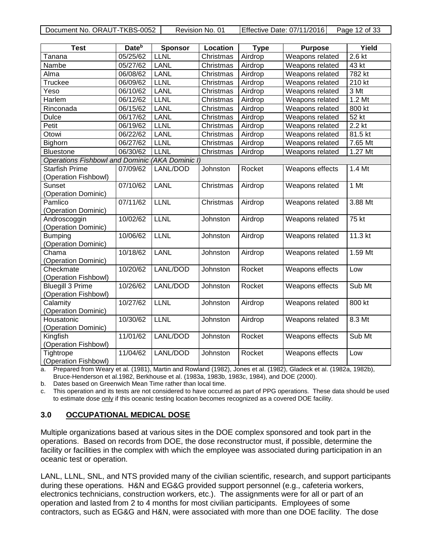Document No. ORAUT-TKBS-0052 | Revision No. 01 | Effective Date: 07/11/2016 | Page 12 of 33

| <b>Test</b>                                     | Date <sup>b</sup>     | <b>Sponsor</b>  | Location  | <b>Type</b> | <b>Purpose</b>         | Yield           |
|-------------------------------------------------|-----------------------|-----------------|-----------|-------------|------------------------|-----------------|
| Tanana                                          | 05/25/62              | LLNL            | Christmas | Airdrop     | Weapons related        | 2.6 kt          |
| Nambe                                           | 05/27/62              | <b>LANL</b>     | Christmas | Airdrop     | Weapons related        | 43 kt           |
| Alma                                            | 06/08/62              | LANL            | Christmas | Airdrop     | Weapons related        | 782 kt          |
| Truckee                                         | 06/09/62              | <b>LLNL</b>     | Christmas | Airdrop     | Weapons related        | 210 kt          |
| Yeso                                            | 06/10/62              | <b>LANL</b>     | Christmas | Airdrop     | <b>Weapons related</b> | 3 <sub>Mt</sub> |
| Harlem                                          | 06/12/62              | <b>LLNL</b>     | Christmas | Airdrop     | Weapons related        | $1.2$ Mt        |
| Rinconada                                       | 06/15/62              | LANL            | Christmas | Airdrop     | Weapons related        | 800 kt          |
| <b>Dulce</b>                                    | 06/17/62              | LANL            | Christmas | Airdrop     | Weapons related        | $52$ kt         |
| Petit                                           | 06/19/62              | <b>LLNL</b>     | Christmas | Airdrop     | Weapons related        | 2.2 kt          |
| Otowi                                           | 06/22/62              | LANL            | Christmas | Airdrop     | Weapons related        | 81.5 kt         |
| Bighorn                                         | 06/27/62              | <b>LLNL</b>     | Christmas | Airdrop     | Weapons related        | 7.65 Mt         |
| <b>Bluestone</b>                                | $\frac{0}{06}{30/62}$ | <b>LLNL</b>     | Christmas | Airdrop     | Weapons related        | 1.27 Mt         |
| Operations Fishbowl and Dominic (AKA Dominic I) |                       |                 |           |             |                        |                 |
| <b>Starfish Prime</b>                           | 07/09/62              | LANL/DOD        | Johnston  | Rocket      | Weapons effects        | 1.4 Mt          |
| (Operation Fishbowl)                            |                       |                 |           |             |                        |                 |
| Sunset                                          | 07/10/62              | <b>LANL</b>     | Christmas | Airdrop     | Weapons related        | 1 Mt            |
| (Operation Dominic)                             |                       |                 |           |             |                        |                 |
| Pamlico                                         | 07/11/62              | LLNL            | Christmas | Airdrop     | Weapons related        | 3.88 Mt         |
| (Operation Dominic)                             |                       |                 |           |             |                        |                 |
| Androscoggin                                    | 10/02/62              | <b>LLNL</b>     | Johnston  | Airdrop     | Weapons related        | 75 kt           |
| (Operation Dominic)                             |                       |                 |           |             |                        |                 |
| <b>Bumping</b>                                  | 10/06/62              | <b>LLNL</b>     | Johnston  | Airdrop     | Weapons related        | 11.3 kt         |
| (Operation Dominic)                             |                       |                 |           |             |                        |                 |
| Chama                                           | 10/18/62              | <b>LANL</b>     | Johnston  | Airdrop     | Weapons related        | 1.59 Mt         |
| (Operation Dominic)                             |                       |                 |           |             |                        |                 |
| Checkmate                                       | 10/20/62              | <b>LANL/DOD</b> | Johnston  | Rocket      | Weapons effects        | Low             |
| (Operation Fishbowl)<br><b>Bluegill 3 Prime</b> | 10/26/62              | LANL/DOD        |           |             |                        | Sub Mt          |
| (Operation Fishbowl)                            |                       |                 | Johnston  | Rocket      | Weapons effects        |                 |
| Calamity                                        | 10/27/62              | <b>LLNL</b>     | Johnston  | Airdrop     | Weapons related        | 800 kt          |
| (Operation Dominic)                             |                       |                 |           |             |                        |                 |
| Housatonic                                      | 10/30/62              | <b>LLNL</b>     | Johnston  | Airdrop     | Weapons related        | 8.3 Mt          |
| (Operation Dominic)                             |                       |                 |           |             |                        |                 |
| Kingfish                                        | 11/01/62              | LANL/DOD        | Johnston  | Rocket      | Weapons effects        | Sub Mt          |
| (Operation Fishbowl)                            |                       |                 |           |             |                        |                 |
| Tightrope                                       | 11/04/62              | <b>LANL/DOD</b> | Johnston  | Rocket      | Weapons effects        | Low             |
| (Operation Fishbowl)                            |                       |                 |           |             |                        |                 |

a. Prepared from Weary et al. (1981), Martin and Rowland (1982), Jones et al. (1982), Gladeck et al. (1982a, 1982b), Bruce-Henderson et al.1982, Berkhouse et al. (1983a, 1983b, 1983c, 1984), and DOE (2000).

b. Dates based on Greenwich Mean Time rather than local time.

c. This operation and its tests are not considered to have occurred as part of PPG operations. These data should be used to estimate dose only if this oceanic testing location becomes recognized as a covered DOE facility.

# **3.0 OCCUPATIONAL MEDICAL DOSE**

Multiple organizations based at various sites in the DOE complex sponsored and took part in the operations. Based on records from DOE, the dose reconstructor must, if possible, determine the facility or facilities in the complex with which the employee was associated during participation in an oceanic test or operation.

LANL, LLNL, SNL, and NTS provided many of the civilian scientific, research, and support participants during these operations. H&N and EG&G provided support personnel (e.g., cafeteria workers, electronics technicians, construction workers, etc.). The assignments were for all or part of an operation and lasted from 2 to 4 months for most civilian participants. Employees of some contractors, such as EG&G and H&N, were associated with more than one DOE facility. The dose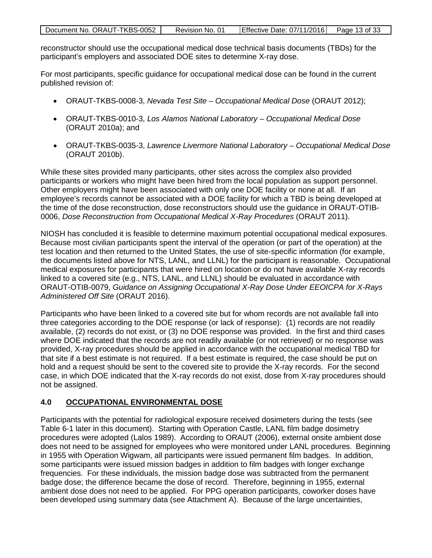| Document No. ORAUT-TKBS-0052 | Revision No. 01 | Effective Date: 07/11/2016 Page 13 of 33 |  |
|------------------------------|-----------------|------------------------------------------|--|

reconstructor should use the occupational medical dose technical basis documents (TBDs) for the participant's employers and associated DOE sites to determine X-ray dose.

For most participants, specific guidance for occupational medical dose can be found in the current published revision of:

- ORAUT-TKBS-0008-3, *Nevada Test Site Occupational Medical Dose* (ORAUT 2012);
- ORAUT-TKBS-0010-3, *Los Alamos National Laboratory Occupational Medical Dose* (ORAUT 2010a); and
- ORAUT-TKBS-0035-3, *Lawrence Livermore National Laboratory Occupational Medical Dose* (ORAUT 2010b).

While these sites provided many participants, other sites across the complex also provided participants or workers who might have been hired from the local population as support personnel. Other employers might have been associated with only one DOE facility or none at all. If an employee's records cannot be associated with a DOE facility for which a TBD is being developed at the time of the dose reconstruction, dose reconstructors should use the guidance in ORAUT-OTIB-0006, *Dose Reconstruction from Occupational Medical X-Ray Procedures* (ORAUT 2011).

NIOSH has concluded it is feasible to determine maximum potential occupational medical exposures. Because most civilian participants spent the interval of the operation (or part of the operation) at the test location and then returned to the United States, the use of site-specific information (for example, the documents listed above for NTS, LANL, and LLNL) for the participant is reasonable. Occupational medical exposures for participants that were hired on location or do not have available X-ray records linked to a covered site (e.g., NTS, LANL, and LLNL) should be evaluated in accordance with ORAUT-OTIB-0079, *Guidance on Assigning Occupational X-Ray Dose Under EEOICPA for X-Rays Administered Off Site* (ORAUT 2016).

Participants who have been linked to a covered site but for whom records are not available fall into three categories according to the DOE response (or lack of response): (1) records are not readily available, (2) records do not exist, or (3) no DOE response was provided. In the first and third cases where DOE indicated that the records are not readily available (or not retrieved) or no response was provided, X-ray procedures should be applied in accordance with the occupational medical TBD for that site if a best estimate is not required. If a best estimate is required, the case should be put on hold and a request should be sent to the covered site to provide the X-ray records. For the second case, in which DOE indicated that the X-ray records do not exist, dose from X-ray procedures should not be assigned.

## **4.0 OCCUPATIONAL ENVIRONMENTAL DOSE**

Participants with the potential for radiological exposure received dosimeters during the tests (see Table 6-1 later in this document). Starting with Operation Castle, LANL film badge dosimetry procedures were adopted (Lalos 1989). According to ORAUT (2006), external onsite ambient dose does not need to be assigned for employees who were monitored under LANL procedures. Beginning in 1955 with Operation Wigwam, all participants were issued permanent film badges. In addition, some participants were issued mission badges in addition to film badges with longer exchange frequencies. For these individuals, the mission badge dose was subtracted from the permanent badge dose; the difference became the dose of record. Therefore, beginning in 1955, external ambient dose does not need to be applied. For PPG operation participants, coworker doses have been developed using summary data (see Attachment A). Because of the large uncertainties,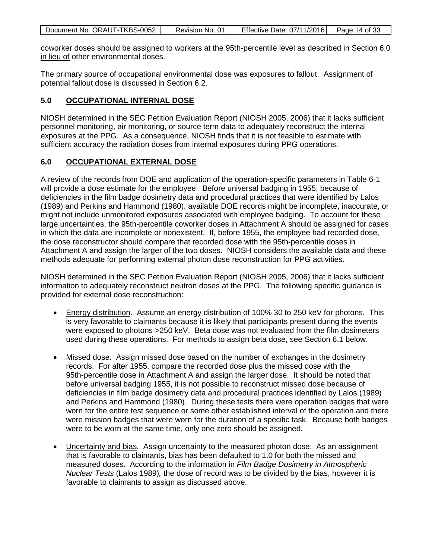| Document No. ORAUT-TKBS-0052 | Revision No. 01 | Effective Date: 07/11/2016 Page 14 of 33 |  |
|------------------------------|-----------------|------------------------------------------|--|

coworker doses should be assigned to workers at the 95th-percentile level as described in Section 6.0 in lieu of other environmental doses.

The primary source of occupational environmental dose was exposures to fallout. Assignment of potential fallout dose is discussed in Section 6.2.

## **5.0 OCCUPATIONAL INTERNAL DOSE**

NIOSH determined in the SEC Petition Evaluation Report (NIOSH 2005, 2006) that it lacks sufficient personnel monitoring, air monitoring, or source term data to adequately reconstruct the internal exposures at the PPG. As a consequence, NIOSH finds that it is not feasible to estimate with sufficient accuracy the radiation doses from internal exposures during PPG operations.

## **6.0 OCCUPATIONAL EXTERNAL DOSE**

A review of the records from DOE and application of the operation-specific parameters in Table 6-1 will provide a dose estimate for the employee. Before universal badging in 1955, because of deficiencies in the film badge dosimetry data and procedural practices that were identified by Lalos (1989) and Perkins and Hammond (1980), available DOE records might be incomplete, inaccurate, or might not include unmonitored exposures associated with employee badging. To account for these large uncertainties, the 95th-percentile coworker doses in Attachment A should be assigned for cases in which the data are incomplete or nonexistent. If, before 1955, the employee had recorded dose, the dose reconstructor should compare that recorded dose with the 95th-percentile doses in Attachment A and assign the larger of the two doses. NIOSH considers the available data and these methods adequate for performing external photon dose reconstruction for PPG activities.

NIOSH determined in the SEC Petition Evaluation Report (NIOSH 2005, 2006) that it lacks sufficient information to adequately reconstruct neutron doses at the PPG. The following specific guidance is provided for external dose reconstruction:

- Energy distribution. Assume an energy distribution of 100% 30 to 250 keV for photons. This is very favorable to claimants because it is likely that participants present during the events were exposed to photons >250 keV. Beta dose was not evaluated from the film dosimeters used during these operations. For methods to assign beta dose, see Section 6.1 below.
- Missed dose. Assign missed dose based on the number of exchanges in the dosimetry records. For after 1955, compare the recorded dose plus the missed dose with the 95th-percentile dose in Attachment A and assign the larger dose. It should be noted that before universal badging 1955, it is not possible to reconstruct missed dose because of deficiencies in film badge dosimetry data and procedural practices identified by Lalos (1989) and Perkins and Hammond (1980). During these tests there were operation badges that were worn for the entire test sequence or some other established interval of the operation and there were mission badges that were worn for the duration of a specific task. Because both badges were to be worn at the same time, only one zero should be assigned.
- Uncertainty and bias. Assign uncertainty to the measured photon dose. As an assignment that is favorable to claimants, bias has been defaulted to 1.0 for both the missed and measured doses. According to the information in *Film Badge Dosimetry in Atmospheric Nuclear Tests* (Lalos 1989)*,* the dose of record was to be divided by the bias, however it is favorable to claimants to assign as discussed above.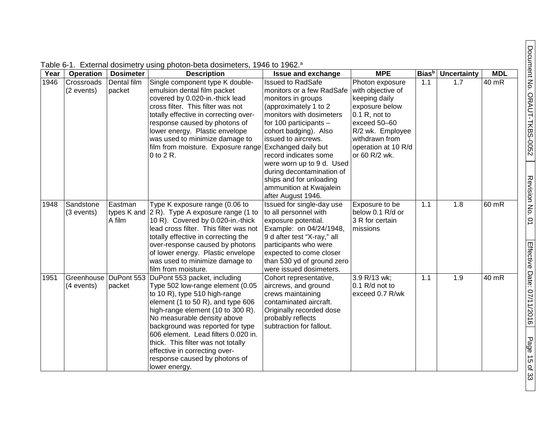| Year | <b>Operation</b>        | <b>Dosimeter</b> | <b>Description</b>                                                   | <b>Issue and exchange</b>                             | <b>MPE</b>                            | <b>Bias</b> b | <b>Uncertainty</b> | <b>MDL</b> |
|------|-------------------------|------------------|----------------------------------------------------------------------|-------------------------------------------------------|---------------------------------------|---------------|--------------------|------------|
| 1946 | Crossroads              | Dental film      | Single component type K double-                                      | <b>Issued to RadSafe</b>                              | Photon exposure                       | 1.1           | 1.7                | 40 mR      |
|      | (2 events)              | packet           | emulsion dental film packet                                          | monitors or a few RadSafe                             | with objective of                     |               |                    |            |
|      |                         |                  | covered by 0.020-in.-thick lead                                      | monitors in groups                                    | keeping daily                         |               |                    |            |
|      |                         |                  | cross filter. This filter was not                                    | (approximately 1 to 2                                 | exposure below                        |               |                    |            |
|      |                         |                  | totally effective in correcting over-                                | monitors with dosimeters                              | $0.1 R$ , not to                      |               |                    |            |
|      |                         |                  | response caused by photons of                                        | for 100 participants -                                | exceed 50-60                          |               |                    |            |
|      |                         |                  | lower energy. Plastic envelope                                       | cohort badging). Also                                 | R/2 wk. Employee                      |               |                    |            |
|      |                         |                  | was used to minimize damage to<br>film from moisture. Exposure range | issued to aircrews.<br>Exchanged daily but            | withdrawn from<br>operation at 10 R/d |               |                    |            |
|      |                         |                  | 0 to 2 R.                                                            | record indicates some                                 | or 60 R/2 wk.                         |               |                    |            |
|      |                         |                  |                                                                      | were worn up to 9 d. Used                             |                                       |               |                    |            |
|      |                         |                  |                                                                      | during decontamination of                             |                                       |               |                    |            |
|      |                         |                  |                                                                      | ships and for unloading                               |                                       |               |                    |            |
|      |                         |                  |                                                                      | ammunition at Kwajalein                               |                                       |               |                    |            |
|      |                         |                  |                                                                      | after August 1946.                                    |                                       |               |                    |            |
| 1948 | Sandstone               | Eastman          | Type K exposure range (0.06 to                                       | Issued for single-day use                             | Exposure to be                        | 1.1           | 1.8                | 60 mR      |
|      | (3 events)              |                  | types K and $(2 R)$ . Type A exposure range (1 to                    | to all personnel with                                 | below 0.1 R/d or                      |               |                    |            |
|      |                         | A film           | 10 R). Covered by 0.020-in.-thick                                    | exposure potential.                                   | 3 R for certain                       |               |                    |            |
|      |                         |                  | lead cross filter. This filter was not                               | Example: on 04/24/1948,                               | missions                              |               |                    |            |
|      |                         |                  | totally effective in correcting the                                  | 9 d after test "X-ray," all                           |                                       |               |                    |            |
|      |                         |                  | over-response caused by photons                                      | participants who were                                 |                                       |               |                    |            |
|      |                         |                  | of lower energy. Plastic envelope                                    | expected to come closer                               |                                       |               |                    |            |
|      |                         |                  | was used to minimize damage to<br>film from moisture.                | than 530 yd of ground zero<br>were issued dosimeters. |                                       |               |                    |            |
| 1951 | Greenhouse   DuPont 553 |                  | DuPont 553 packet, including                                         | Cohort representative,                                | 3.9 R/13 wk;                          | 1.1           | 1.9                | 40 mR      |
|      | (4 events)              | packet           | Type 502 low-range element (0.05                                     | aircrews, and ground                                  | $0.1$ R/d not to                      |               |                    |            |
|      |                         |                  | to 10 R), type 510 high-range                                        | crews maintaining                                     | exceed 0.7 R/wk                       |               |                    |            |
|      |                         |                  | element (1 to 50 R), and type $606$                                  | contaminated aircraft.                                |                                       |               |                    |            |
|      |                         |                  | high-range element (10 to 300 R).                                    | Originally recorded dose                              |                                       |               |                    |            |
|      |                         |                  | No measurable density above                                          | probably reflects                                     |                                       |               |                    |            |
|      |                         |                  | background was reported for type                                     | subtraction for fallout.                              |                                       |               |                    |            |
|      |                         |                  | 606 element. Lead filters 0.020 in.                                  |                                                       |                                       |               |                    |            |
|      |                         |                  | thick. This filter was not totally                                   |                                                       |                                       |               |                    |            |
|      |                         |                  | effective in correcting over-                                        |                                                       |                                       |               |                    |            |
|      |                         |                  | response caused by photons of                                        |                                                       |                                       |               |                    |            |
|      |                         |                  | lower energy.                                                        |                                                       |                                       |               |                    |            |

Table 6-1. External dosimetry using photon-beta dosimeters, 1946 to 1962.<sup>a</sup>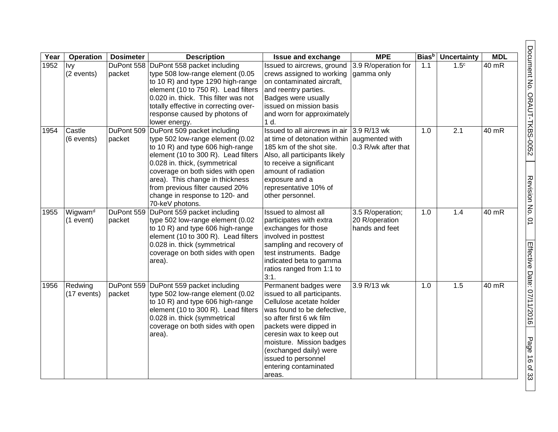| Year | <b>Operation</b>                   | <b>Dosimeter</b>     | <b>Description</b>                                                                                                                                                                                                                                                                                                                         | Issue and exchange                                                                                                                                                                                                                                                                                              | <b>MPE</b>                                           | <b>Bias</b> b | <b>Uncertainty</b> | <b>MDL</b> |
|------|------------------------------------|----------------------|--------------------------------------------------------------------------------------------------------------------------------------------------------------------------------------------------------------------------------------------------------------------------------------------------------------------------------------------|-----------------------------------------------------------------------------------------------------------------------------------------------------------------------------------------------------------------------------------------------------------------------------------------------------------------|------------------------------------------------------|---------------|--------------------|------------|
| 1952 | Ivy<br>(2 events)                  | DuPont 558<br>packet | DuPont 558 packet including<br>type 508 low-range element (0.05<br>to 10 R) and type 1290 high-range<br>element (10 to 750 R). Lead filters<br>0.020 in. thick. This filter was not<br>totally effective in correcting over-<br>response caused by photons of<br>lower energy.                                                             | Issued to aircrews, ground<br>crews assigned to working<br>on contaminated aircraft,<br>and reentry parties.<br>Badges were usually<br>issued on mission basis<br>and worn for approximately<br>1 d.                                                                                                            | 3.9 R/operation for<br>gamma only                    | 1.1           | 1.5 <sup>c</sup>   | 40 mR      |
| 1954 | Castle<br>(6 events)               | DuPont 509<br>packet | DuPont 509 packet including<br>type 502 low-range element (0.02<br>to 10 R) and type 606 high-range<br>element (10 to 300 R). Lead filters<br>0.028 in. thick, (symmetrical<br>coverage on both sides with open<br>area). This change in thickness<br>from previous filter caused 20%<br>change in response to 120- and<br>70-keV photons. | Issued to all aircrews in air<br>at time of detonation within augmented with<br>185 km of the shot site.<br>Also, all participants likely<br>to receive a significant<br>amount of radiation<br>exposure and a<br>representative 10% of<br>other personnel.                                                     | 3.9 R/13 wk<br>0.3 R/wk after that                   | 1.0           | $\overline{2.1}$   | 40 mR      |
| 1955 | Wigwam <sup>d</sup><br>$(1$ event) | DuPont 559<br>packet | DuPont 559 packet including<br>type 502 low-range element (0.02<br>to 10 R) and type 606 high-range<br>element (10 to 300 R). Lead filters<br>0.028 in. thick (symmetrical<br>coverage on both sides with open<br>area).                                                                                                                   | Issued to almost all<br>participates with extra<br>exchanges for those<br>involved in posttest<br>sampling and recovery of<br>test instruments. Badge<br>indicated beta to gamma<br>ratios ranged from 1:1 to<br>3:1.                                                                                           | 3.5 R/operation;<br>20 R/operation<br>hands and feet | 1.0           | 1.4                | $40$ mR    |
| 1956 | Redwing<br>(17 events)             | DuPont 559<br>packet | DuPont 559 packet including<br>type 502 low-range element (0.02<br>to 10 R) and type 606 high-range<br>element (10 to 300 R). Lead filters<br>0.028 in. thick (symmetrical<br>coverage on both sides with open<br>area).                                                                                                                   | Permanent badges were<br>issued to all participants.<br>Cellulose acetate holder<br>was found to be defective,<br>so after first 6 wk film<br>packets were dipped in<br>ceresin wax to keep out<br>moisture. Mission badges<br>(exchanged daily) were<br>issued to personnel<br>entering contaminated<br>areas. | 3.9 R/13 wk                                          | 1.0           | 1.5                | 40 mR      |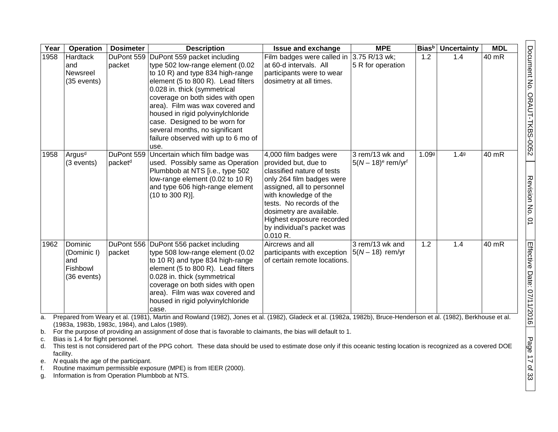| Year | <b>Operation</b>                                         | <b>Dosimeter</b>                  | <b>Description</b>                                                                                                                                                                                                                                                                                                                                                                                      | <b>Issue and exchange</b>                                                                                                                                                                                                                                                                          | <b>MPE</b>                                                    | <b>Bias</b> b     | <b>Uncertainty</b> | <b>MDL</b> |
|------|----------------------------------------------------------|-----------------------------------|---------------------------------------------------------------------------------------------------------------------------------------------------------------------------------------------------------------------------------------------------------------------------------------------------------------------------------------------------------------------------------------------------------|----------------------------------------------------------------------------------------------------------------------------------------------------------------------------------------------------------------------------------------------------------------------------------------------------|---------------------------------------------------------------|-------------------|--------------------|------------|
| 1958 | <b>Hardtack</b><br>and<br><b>Newsreel</b><br>(35 events) | DuPont 559<br>packet              | DuPont 559 packet including<br>type 502 low-range element (0.02<br>to 10 R) and type 834 high-range<br>element (5 to 800 R). Lead filters<br>0.028 in. thick (symmetrical<br>coverage on both sides with open<br>area). Film was wax covered and<br>housed in rigid polyvinylchloride<br>case. Designed to be worn for<br>several months, no significant<br>failure observed with up to 6 mo of<br>use. | Film badges were called in<br>at 60-d intervals. All<br>participants were to wear<br>dosimetry at all times.                                                                                                                                                                                       | 3.75 R/13 wk;<br>5 R for operation                            | 1.2               | 1.4                | 40 mR      |
| 1958 | Argus <sup>d</sup><br>(3 events)                         | DuPont 559<br>packet <sup>d</sup> | Uncertain which film badge was<br>used. Possibly same as Operation<br>Plumbbob at NTS [i.e., type 502<br>low-range element (0.02 to 10 R)<br>and type 606 high-range element<br>(10 to 300 R)].                                                                                                                                                                                                         | 4,000 film badges were<br>provided but, due to<br>classified nature of tests<br>only 264 film badges were<br>assigned, all to personnel<br>with knowledge of the<br>tests. No records of the<br>dosimetry are available.<br>Highest exposure recorded<br>by individual's packet was<br>$0.010 R$ . | 3 rem/13 wk and<br>$5(N-18)$ <sup>e</sup> rem/yr <sup>f</sup> | 1.09 <sup>g</sup> | 1.49               | 40 mR      |
| 1962 | Dominic<br>(Dominic I)<br>and<br>Fishbowl<br>(36 events) | DuPont 556<br>packet              | DuPont 556 packet including<br>type 508 low-range element (0.02<br>to 10 R) and type 834 high-range<br>element (5 to 800 R). Lead filters<br>0.028 in. thick (symmetrical<br>coverage on both sides with open<br>area). Film was wax covered and<br>housed in rigid polyvinylchloride<br>case.                                                                                                          | Aircrews and all<br>participants with exception<br>of certain remote locations.                                                                                                                                                                                                                    | 3 rem/13 wk and<br>$5(N-18)$ rem/yr                           | 1.2               | 1.4                | 40 mR      |

a. Prepared from Weary et al. (1981), Martin and Rowland (1982), Jones et al. (1982), Gladeck et al. (1982a, 1982b), Bruce-Henderson et al. (1982), Berkhouse et al. (1983a, 1983b, 1983c, 1984), and Lalos (1989).

b. For the purpose of providing an assignment of dose that is favorable to claimants, the bias will default to 1.

c. Bias is 1.4 for flight personnel.

d. This test is not considered part of the PPG cohort. These data should be used to estimate dose only if this oceanic testing location is recognized as a covered DOE facility.

e. *N* equals the age of the participant.

f. Routine maximum permissible exposure (MPE) is from IEER (2000).

g. Information is from Operation Plumbbob at NTS.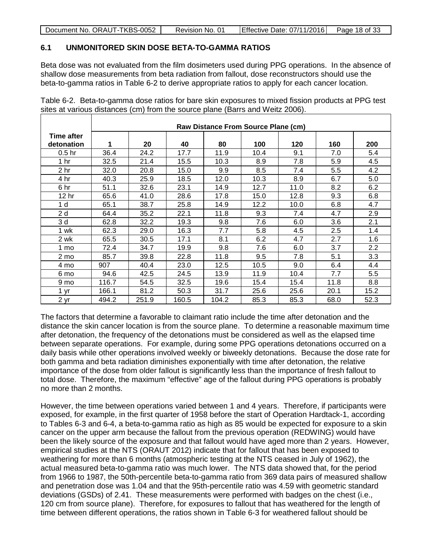| Document No. ORAUT-TKBS-0052 | Revision No. 01 | Effective Date: 07/11/2016 | Page 18 of 33 |
|------------------------------|-----------------|----------------------------|---------------|
|                              |                 |                            |               |

## **6.1 UNMONITORED SKIN DOSE BETA-TO-GAMMA RATIOS**

Beta dose was not evaluated from the film dosimeters used during PPG operations. In the absence of shallow dose measurements from beta radiation from fallout, dose reconstructors should use the beta-to-gamma ratios in Table 6-2 to derive appropriate ratios to apply for each cancer location.

Table 6-2. Beta-to-gamma dose ratios for bare skin exposures to mixed fission products at PPG test sites at various distances (cm) from the source plane (Barrs and Weitz 2006).

|                                 |       |       |       |       | <b>Raw Distance From Source Plane (cm)</b> |      |      |      |
|---------------------------------|-------|-------|-------|-------|--------------------------------------------|------|------|------|
| <b>Time after</b><br>detonation | 1     | 20    | 40    | 80    | 100                                        | 120  | 160  | 200  |
| 0.5 <sub>hr</sub>               | 36.4  | 24.2  | 17.7  | 11.9  | 10.4                                       | 9.1  | 7.0  | 5.4  |
| 1 $hr$                          | 32.5  | 21.4  | 15.5  | 10.3  | 8.9                                        | 7.8  | 5.9  | 4.5  |
| 2 <sub>hr</sub>                 | 32.0  | 20.8  | 15.0  | 9.9   | 8.5                                        | 7.4  | 5.5  | 4.2  |
| 4 hr                            | 40.3  | 25.9  | 18.5  | 12.0  | 10.3                                       | 8.9  | 6.7  | 5.0  |
| 6 hr                            | 51.1  | 32.6  | 23.1  | 14.9  | 12.7                                       | 11.0 | 8.2  | 6.2  |
| 12 <sub>hr</sub>                | 65.6  | 41.0  | 28.6  | 17.8  | 15.0                                       | 12.8 | 9.3  | 6.8  |
| 1 d                             | 65.1  | 38.7  | 25.8  | 14.9  | 12.2                                       | 10.0 | 6.8  | 4.7  |
| 2d                              | 64.4  | 35.2  | 22.1  | 11.8  | 9.3                                        | 7.4  | 4.7  | 2.9  |
| 3 d                             | 62.8  | 32.2  | 19.3  | 9.8   | 7.6                                        | 6.0  | 3.6  | 2.1  |
| 1 wk                            | 62.3  | 29.0  | 16.3  | 7.7   | 5.8                                        | 4.5  | 2.5  | 1.4  |
| 2 wk                            | 65.5  | 30.5  | 17.1  | 8.1   | 6.2                                        | 4.7  | 2.7  | 1.6  |
| 1 <sub>mo</sub>                 | 72.4  | 34.7  | 19.9  | 9.8   | 7.6                                        | 6.0  | 3.7  | 2.2  |
| 2 mo                            | 85.7  | 39.8  | 22.8  | 11.8  | 9.5                                        | 7.8  | 5.1  | 3.3  |
| 4 mo                            | 907   | 40.4  | 23.0  | 12.5  | 10.5                                       | 9.0  | 6.4  | 4.4  |
| 6 mo                            | 94.6  | 42.5  | 24.5  | 13.9  | 11.9                                       | 10.4 | 7.7  | 5.5  |
| 9 mo                            | 116.7 | 54.5  | 32.5  | 19.6  | 15.4                                       | 15.4 | 11.8 | 8.8  |
| 1 yr                            | 166.1 | 81.2  | 50.3  | 31.7  | 25.6                                       | 25.6 | 20.1 | 15.2 |
| 2 yr                            | 494.2 | 251.9 | 160.5 | 104.2 | 85.3                                       | 85.3 | 68.0 | 52.3 |

The factors that determine a favorable to claimant ratio include the time after detonation and the distance the skin cancer location is from the source plane. To determine a reasonable maximum time after detonation, the frequency of the detonations must be considered as well as the elapsed time between separate operations. For example, during some PPG operations detonations occurred on a daily basis while other operations involved weekly or biweekly detonations. Because the dose rate for both gamma and beta radiation diminishes exponentially with time after detonation, the relative importance of the dose from older fallout is significantly less than the importance of fresh fallout to total dose. Therefore, the maximum "effective" age of the fallout during PPG operations is probably no more than 2 months.

However, the time between operations varied between 1 and 4 years. Therefore, if participants were exposed, for example, in the first quarter of 1958 before the start of Operation Hardtack-1, according to Tables 6-3 and 6-4, a beta-to-gamma ratio as high as 85 would be expected for exposure to a skin cancer on the upper arm because the fallout from the previous operation (REDWING) would have been the likely source of the exposure and that fallout would have aged more than 2 years. However, empirical studies at the NTS (ORAUT 2012) indicate that for fallout that has been exposed to weathering for more than 6 months (atmospheric testing at the NTS ceased in July of 1962), the actual measured beta-to-gamma ratio was much lower. The NTS data showed that, for the period from 1966 to 1987, the 50th-percentile beta-to-gamma ratio from 369 data pairs of measured shallow and penetration dose was 1.04 and that the 95th-percentile ratio was 4.59 with geometric standard deviations (GSDs) of 2.41. These measurements were performed with badges on the chest (i.e., 120 cm from source plane). Therefore, for exposures to fallout that has weathered for the length of time between different operations, the ratios shown in Table 6-3 for weathered fallout should be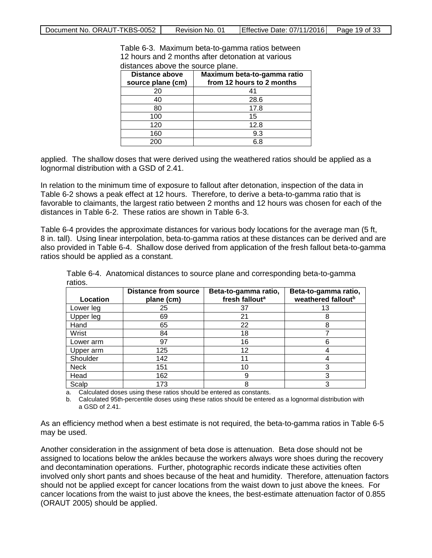| Table 6-3. Maximum beta-to-gamma ratios between   |
|---------------------------------------------------|
| 12 hours and 2 months after detonation at various |
| distances above the source plane.                 |

| <b>Distance above</b><br>source plane (cm) | Maximum beta-to-gamma ratio<br>from 12 hours to 2 months |
|--------------------------------------------|----------------------------------------------------------|
| 20                                         | 41                                                       |
| 40                                         | 28.6                                                     |
| 80                                         | 17.8                                                     |
| 100                                        | 15                                                       |
| 120                                        | 12.8                                                     |
| 160                                        | 9.3                                                      |
|                                            | 6 R                                                      |

applied. The shallow doses that were derived using the weathered ratios should be applied as a lognormal distribution with a GSD of 2.41.

In relation to the minimum time of exposure to fallout after detonation, inspection of the data in Table 6-2 shows a peak effect at 12 hours. Therefore, to derive a beta-to-gamma ratio that is favorable to claimants, the largest ratio between 2 months and 12 hours was chosen for each of the distances in Table 6-2. These ratios are shown in Table 6-3.

Table 6-4 provides the approximate distances for various body locations for the average man (5 ft, 8 in. tall). Using linear interpolation, beta-to-gamma ratios at these distances can be derived and are also provided in Table 6-4. Shallow dose derived from application of the fresh fallout beta-to-gamma ratios should be applied as a constant.

| Location  | <b>Distance from source</b><br>plane (cm) | Beta-to-gamma ratio,<br>fresh fallout <sup>a</sup> | Beta-to-gamma ratio,<br>weathered fallout <sup>b</sup> |
|-----------|-------------------------------------------|----------------------------------------------------|--------------------------------------------------------|
| Lower leg | 25                                        | 37                                                 | 13                                                     |
| Upper leg | 69                                        | 21                                                 |                                                        |
| Hand      | 65                                        | 22                                                 |                                                        |
| Wrist     | 84                                        | 18                                                 |                                                        |
| Lower arm | 97                                        | 16                                                 |                                                        |
| Upper arm | 125                                       | 12                                                 |                                                        |
| Shoulder  | 142                                       | 11                                                 |                                                        |
| Neck      | 151                                       | 10                                                 | 3                                                      |
| Head      | 162                                       |                                                    | 3                                                      |
| Scalp     | 173                                       | 8                                                  | 3                                                      |

Table 6-4. Anatomical distances to source plane and corresponding beta-to-gamma ratios.

a. Calculated doses using these ratios should be entered as constants.

b. Calculated 95th-percentile doses using these ratios should be entered as a lognormal distribution with a GSD of 2.41.

As an efficiency method when a best estimate is not required, the beta-to-gamma ratios in Table 6-5 may be used.

Another consideration in the assignment of beta dose is attenuation. Beta dose should not be assigned to locations below the ankles because the workers always wore shoes during the recovery and decontamination operations. Further, photographic records indicate these activities often involved only short pants and shoes because of the heat and humidity. Therefore, attenuation factors should not be applied except for cancer locations from the waist down to just above the knees. For cancer locations from the waist to just above the knees, the best-estimate attenuation factor of 0.855 (ORAUT 2005) should be applied.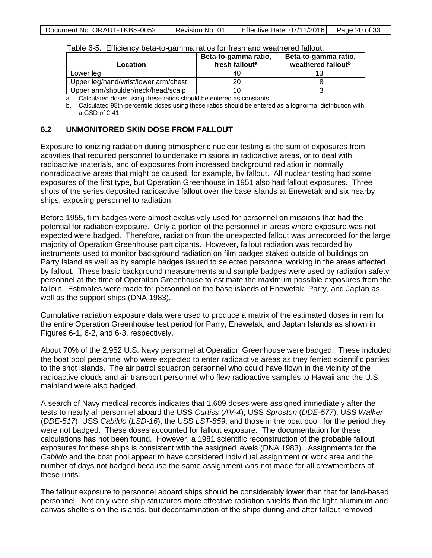|  | Document No. ORAUT-TKBS-0052 | Revision No. 01 | Effective Date: 07/11/2016 Page 20 of 33 |  |
|--|------------------------------|-----------------|------------------------------------------|--|
|--|------------------------------|-----------------|------------------------------------------|--|

| Location                             | Beta-to-gamma ratio,<br>fresh fallout <sup>a</sup> | Beta-to-gamma ratio,<br>weathered fallout <sup>b</sup> |
|--------------------------------------|----------------------------------------------------|--------------------------------------------------------|
| Lower leg                            | 40                                                 |                                                        |
| Upper leg/hand/wrist/lower arm/chest | 20                                                 |                                                        |
| Upper arm/shoulder/neck/head/scalp   |                                                    |                                                        |

Table 6-5. Efficiency beta-to-gamma ratios for fresh and weathered fallout.

a. Calculated doses using these ratios should be entered as constants.

b. Calculated 95th-percentile doses using these ratios should be entered as a lognormal distribution with a GSD of 2.41.

## **6.2 UNMONITORED SKIN DOSE FROM FALLOUT**

Exposure to ionizing radiation during atmospheric nuclear testing is the sum of exposures from activities that required personnel to undertake missions in radioactive areas, or to deal with radioactive materials, and of exposures from increased background radiation in normally nonradioactive areas that might be caused, for example, by fallout. All nuclear testing had some exposures of the first type, but Operation Greenhouse in 1951 also had fallout exposures. Three shots of the series deposited radioactive fallout over the base islands at Enewetak and six nearby ships, exposing personnel to radiation.

Before 1955, film badges were almost exclusively used for personnel on missions that had the potential for radiation exposure. Only a portion of the personnel in areas where exposure was not expected were badged. Therefore, radiation from the unexpected fallout was unrecorded for the large majority of Operation Greenhouse participants. However, fallout radiation was recorded by instruments used to monitor background radiation on film badges staked outside of buildings on Parry Island as well as by sample badges issued to selected personnel working in the areas affected by fallout. These basic background measurements and sample badges were used by radiation safety personnel at the time of Operation Greenhouse to estimate the maximum possible exposures from the fallout. Estimates were made for personnel on the base islands of Enewetak, Parry, and Japtan as well as the support ships (DNA 1983).

Cumulative radiation exposure data were used to produce a matrix of the estimated doses in rem for the entire Operation Greenhouse test period for Parry, Enewetak, and Japtan Islands as shown in Figures 6-1, 6-2, and 6-3, respectively.

About 70% of the 2,952 U.S. Navy personnel at Operation Greenhouse were badged. These included the boat pool personnel who were expected to enter radioactive areas as they ferried scientific parties to the shot islands. The air patrol squadron personnel who could have flown in the vicinity of the radioactive clouds and air transport personnel who flew radioactive samples to Hawaii and the U.S. mainland were also badged.

A search of Navy medical records indicates that 1,609 doses were assigned immediately after the tests to nearly all personnel aboard the USS *Curtiss* (*AV-4*), USS *Sproston* (*DDE-577*), USS *Walker* (*DDE-517*), USS *Cabildo* (*LSD-16*), the USS *LST-859*, and those in the boat pool, for the period they were not badged. These doses accounted for fallout exposure. The documentation for these calculations has not been found. However, a 1981 scientific reconstruction of the probable fallout exposures for these ships is consistent with the assigned levels (DNA 1983). Assignments for the *Cabildo* and the boat pool appear to have considered individual assignment or work area and the number of days not badged because the same assignment was not made for all crewmembers of these units.

The fallout exposure to personnel aboard ships should be considerably lower than that for land-based personnel. Not only were ship structures more effective radiation shields than the light aluminum and canvas shelters on the islands, but decontamination of the ships during and after fallout removed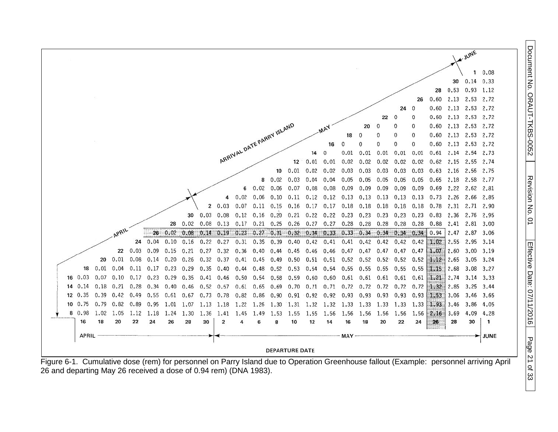| 0.53<br>0.93<br>1.12<br>28<br>2.53<br>0.60<br>2.13<br>2.72<br>26<br>$\Omega$<br>0.60<br>2.13<br>2.53<br>2.72<br>24<br>2.13<br>2.53<br>2.72<br>0<br>0.60<br>22<br>ARRIVAL DATE PARRY ISLAND<br>2.13<br>2.53<br>2.72<br>20<br>۲<br>n<br>0.60<br>MAY<br>2.13<br>2.53<br>$\Omega$<br>0.60<br>2.72<br>n<br>0<br>0.60<br>2.13<br>2.53<br>2.72<br>16<br>n<br>$\theta$<br>14<br>0.01<br>0.01<br>0.01<br>0.01<br>0.01<br>2.54<br>2.73<br>0.61<br>2.14<br>0.01<br>0.01<br>0.02<br>2.55<br>12<br>0.02<br>0.02<br>0.02<br>0.02<br>0.62<br>2.15<br>2.74<br>0.01<br>0.02<br>0.02<br>0.03<br>0.03<br>0.03<br>0.03<br>0.03<br>0.63<br>2.16<br>2.56<br>2.75<br>10<br>8<br>0.02<br>0.03<br>0.04<br>0.04<br>0.05<br>0.05<br>0.05<br>0.05<br>0.05<br>0.65<br>2.18<br>2.58<br>2.77<br>6<br>0.02<br>0.06<br>0.07<br>0.08<br>0.08<br>0.09<br>0.09<br>0.09<br>0.09<br>0.09<br>2.62<br>0.69<br>2.22<br>2.81<br>0.02<br>0.06<br>0.10<br>0.11<br>0.12<br>0.12<br>0.13<br>$0.13$ $0.13$ $0.13$<br>0.13<br>0.73<br>2.26<br>2.66<br>2.85<br>4<br>0.03<br>0.07<br>0.11<br>$\overline{2}$<br>0.15<br>0.16<br>0.17<br>0.18<br>0.18<br>0.18<br>0.18<br>$2.31$ $2.71$<br>0.17<br>0.18<br>0.78<br>2.90<br>0.03<br>0.16<br>0.20<br>0.21<br>30<br>0.08<br>0.12<br>0.22<br>0.22<br>0.23<br>0.23<br>0.23<br>0.23<br>0, 23<br>0.83<br>2.36<br>2.76<br>2.95<br>0.02<br>0.08<br>0.21<br>0.27<br>0.28<br>0.28<br>28<br>0.13<br>0.17<br>0.25<br>0.26<br>0.27<br>0.28<br>0.28<br>0.28<br>0.88<br>2.41 2.81<br>3.00<br><b>PRIL</b><br>0.02<br>$0.23 \quad 0.27$<br>0.33<br>0.34<br>0.08<br>0.31<br>0.32<br>$0.34$ $0.33$<br>$0.34$ $0.34$ $0.34$<br>$2.47$ $2.87$<br>0.14<br>0.19<br>0.94<br>3.06<br>26<br>0.42<br>0.04<br>0.10<br>0.16<br>0.22<br>0.31<br>0.35<br>0.39<br>0.40<br>0.42<br>0.41<br>0.41<br>0.42<br>0.42<br>0.42<br>1.02<br>2.55<br>2.95<br>3.14<br>24<br>0.27<br>0.03<br>0.47<br>0.47<br>1.07<br>3.00<br>22<br>0.09<br>0.15<br>0.21<br>0.27<br>0.32<br>0.36<br>0.40<br>0.45<br>0.46<br>0.46<br>0.47<br>0.47<br>0.47<br>2.60<br>3.19<br>0.44<br>0.01<br>0.08<br>0.52<br>0.52<br>20<br>0.14<br>0.20<br>0.26<br>0.32<br>0.37<br>0.45<br>0.50<br>0.51<br>0.51<br>0.52<br>0.52<br>$0.52^{\circ}$<br>1.12<br>2.65<br>3.05<br>3.24<br>0.41<br>0.49<br>0.01<br>18<br>0.04<br>0.11<br>0.55<br>1.15<br>3.08<br>0.17<br>0.23<br>0.29<br>0.35<br>0.40<br>0.44<br>0.48<br>0.52<br>0.53<br>0.54<br>0.54<br>0.55<br>0.55<br>0.55<br>0.55<br>2.68<br>3.27 | 16 | 0.03<br>14 0.14<br>12 0.35<br>10 0.75 | 0.07<br>0.18<br>0.39<br>0.79 | 0.10<br>0.21<br>0.42<br>0.82 | 0.17<br>0.28<br>0.49<br>0.89 | 0.23<br>0.34<br>0.55<br>0.95 | 0.29<br>0.40<br>0.61<br>1.01 | 0.35<br>0.46<br>0.67<br>1.07 | 0.41<br>0.52<br>0.73<br>1.13 | 0.46<br>0.57<br>0.78<br>1.18 | 0.50<br>0.61<br>0.82<br>1.22 | 0.54<br>0.65<br>0.86<br>1.26 | 0.58<br>0.69<br>0.90<br>1.30 | 0.59<br>0.70<br>0.91<br>1.31 | 0.60<br>0.71<br>0.92<br>1.32 | 0.60<br>0.71<br>0.92<br>1.32 | 0.61<br>0.72<br>0.93<br>1.33 | 0.61<br>0.72<br>0.93<br>1.33 | 0.61<br>0.72<br>0.93<br>1.33 | 0.61<br>0.72<br>0.93<br>1.33 | 0.61<br>0.72<br>0.93<br>1.33 | 1.21<br>1.32<br>1,53<br>1.93 | 2.74<br>2.85<br>3.06<br>3.46 | 3.14<br>3.25<br>3.46<br>3.86 | 3.33<br>3.44<br>3.65<br>4.05 |
|------------------------------------------------------------------------------------------------------------------------------------------------------------------------------------------------------------------------------------------------------------------------------------------------------------------------------------------------------------------------------------------------------------------------------------------------------------------------------------------------------------------------------------------------------------------------------------------------------------------------------------------------------------------------------------------------------------------------------------------------------------------------------------------------------------------------------------------------------------------------------------------------------------------------------------------------------------------------------------------------------------------------------------------------------------------------------------------------------------------------------------------------------------------------------------------------------------------------------------------------------------------------------------------------------------------------------------------------------------------------------------------------------------------------------------------------------------------------------------------------------------------------------------------------------------------------------------------------------------------------------------------------------------------------------------------------------------------------------------------------------------------------------------------------------------------------------------------------------------------------------------------------------------------------------------------------------------------------------------------------------------------------------------------------------------------------------------------------------------------------------------------------------------------------------------------------------------------------------------------------------------------------------------------------------------------------------------------------------------------------------------------------------------|----|---------------------------------------|------------------------------|------------------------------|------------------------------|------------------------------|------------------------------|------------------------------|------------------------------|------------------------------|------------------------------|------------------------------|------------------------------|------------------------------|------------------------------|------------------------------|------------------------------|------------------------------|------------------------------|------------------------------|------------------------------|------------------------------|------------------------------|------------------------------|------------------------------|
|                                                                                                                                                                                                                                                                                                                                                                                                                                                                                                                                                                                                                                                                                                                                                                                                                                                                                                                                                                                                                                                                                                                                                                                                                                                                                                                                                                                                                                                                                                                                                                                                                                                                                                                                                                                                                                                                                                                                                                                                                                                                                                                                                                                                                                                                                                                                                                                                            |    |                                       |                              |                              |                              |                              |                              |                              |                              |                              |                              |                              |                              |                              |                              |                              |                              |                              |                              |                              |                              |                              |                              |                              |                              |
|                                                                                                                                                                                                                                                                                                                                                                                                                                                                                                                                                                                                                                                                                                                                                                                                                                                                                                                                                                                                                                                                                                                                                                                                                                                                                                                                                                                                                                                                                                                                                                                                                                                                                                                                                                                                                                                                                                                                                                                                                                                                                                                                                                                                                                                                                                                                                                                                            |    |                                       |                              |                              |                              |                              |                              |                              |                              |                              |                              |                              |                              |                              |                              |                              |                              |                              |                              |                              |                              |                              |                              |                              |                              |
|                                                                                                                                                                                                                                                                                                                                                                                                                                                                                                                                                                                                                                                                                                                                                                                                                                                                                                                                                                                                                                                                                                                                                                                                                                                                                                                                                                                                                                                                                                                                                                                                                                                                                                                                                                                                                                                                                                                                                                                                                                                                                                                                                                                                                                                                                                                                                                                                            |    |                                       |                              |                              |                              |                              |                              |                              |                              |                              |                              |                              |                              |                              |                              |                              |                              |                              |                              |                              |                              |                              |                              |                              |                              |
|                                                                                                                                                                                                                                                                                                                                                                                                                                                                                                                                                                                                                                                                                                                                                                                                                                                                                                                                                                                                                                                                                                                                                                                                                                                                                                                                                                                                                                                                                                                                                                                                                                                                                                                                                                                                                                                                                                                                                                                                                                                                                                                                                                                                                                                                                                                                                                                                            |    |                                       |                              |                              |                              |                              |                              |                              |                              |                              |                              |                              |                              |                              |                              |                              |                              |                              |                              |                              |                              |                              |                              |                              |                              |
|                                                                                                                                                                                                                                                                                                                                                                                                                                                                                                                                                                                                                                                                                                                                                                                                                                                                                                                                                                                                                                                                                                                                                                                                                                                                                                                                                                                                                                                                                                                                                                                                                                                                                                                                                                                                                                                                                                                                                                                                                                                                                                                                                                                                                                                                                                                                                                                                            |    |                                       |                              |                              |                              |                              |                              |                              |                              |                              |                              |                              |                              |                              |                              |                              |                              |                              |                              |                              |                              |                              |                              |                              |                              |
|                                                                                                                                                                                                                                                                                                                                                                                                                                                                                                                                                                                                                                                                                                                                                                                                                                                                                                                                                                                                                                                                                                                                                                                                                                                                                                                                                                                                                                                                                                                                                                                                                                                                                                                                                                                                                                                                                                                                                                                                                                                                                                                                                                                                                                                                                                                                                                                                            |    |                                       |                              |                              |                              |                              |                              |                              |                              |                              |                              |                              |                              |                              |                              |                              |                              |                              |                              |                              |                              |                              |                              |                              |                              |
|                                                                                                                                                                                                                                                                                                                                                                                                                                                                                                                                                                                                                                                                                                                                                                                                                                                                                                                                                                                                                                                                                                                                                                                                                                                                                                                                                                                                                                                                                                                                                                                                                                                                                                                                                                                                                                                                                                                                                                                                                                                                                                                                                                                                                                                                                                                                                                                                            |    |                                       |                              |                              |                              |                              |                              |                              |                              |                              |                              |                              |                              |                              |                              |                              |                              |                              |                              |                              |                              |                              |                              |                              |                              |
|                                                                                                                                                                                                                                                                                                                                                                                                                                                                                                                                                                                                                                                                                                                                                                                                                                                                                                                                                                                                                                                                                                                                                                                                                                                                                                                                                                                                                                                                                                                                                                                                                                                                                                                                                                                                                                                                                                                                                                                                                                                                                                                                                                                                                                                                                                                                                                                                            |    |                                       |                              |                              |                              |                              |                              |                              |                              |                              |                              |                              |                              |                              |                              |                              |                              |                              |                              |                              |                              |                              |                              |                              |                              |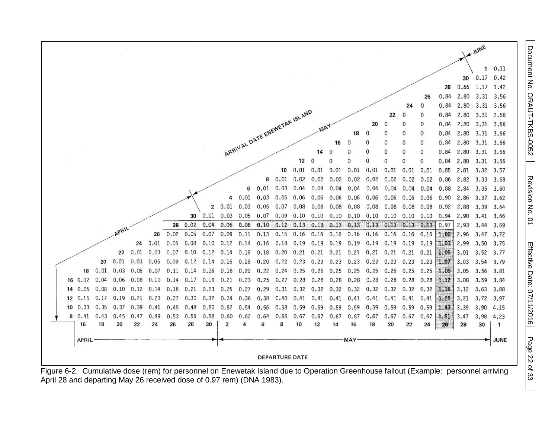|    | APRIL        |            |              |            |            |            |            |              |              |                              |              | <b>DEPARTURE DATE</b>     |                   |              |                       | MAY        |                   |                      |               |              |                    |              |              | JUNE                 |
|----|--------------|------------|--------------|------------|------------|------------|------------|--------------|--------------|------------------------------|--------------|---------------------------|-------------------|--------------|-----------------------|------------|-------------------|----------------------|---------------|--------------|--------------------|--------------|--------------|----------------------|
|    |              |            |              |            |            |            |            |              |              |                              |              |                           |                   |              |                       |            |                   |                      |               |              |                    |              |              |                      |
| 8  | 0.41<br>16   | 0.43<br>18 | 0.45<br>20   | 0.47<br>22 | 0.49<br>24 | 0.53<br>26 | 0.56<br>28 | 0.58<br>30   | 0.60<br>2    | 0.62<br>4                    | 0.64<br>6    | 0.66<br>8                 | 0.67<br>10        | 0.67<br>12   | 0.67<br>14            | 0.67<br>16 | 0.67<br>18        | 0.67<br>20           | 0.67<br>22    | 0.67<br>24   | 1.51<br>26         | 3.47<br>28   | 3.98<br>30   | 4.23<br>$\mathbf{1}$ |
| 10 | 0.33         | 0.35       | 0.37         | 0.39       | 0.41       | 0.45       | 0.48       | 0.50         | 0.52         | 0.54                         | 0.56         | 0.58                      | 0.59              | 0.59         | 0.59                  | 0.59       | 0.59              | 0.59                 | 0.59          | 0.59         | 1.43               | 3.39         | 3.90         | 4.15                 |
|    | $12 \t 0.15$ | 0.17       | 0.19         | 0.21       | 0.23       | 0.27       | 0.30       | 0.32         | 0.34         | 0.36                         | 0.38         | 0.40                      | 0.41              | 0.41         | 0.41                  | 0.41       | 0.41              | 0.41                 | 0.41          | 0.41         | 1.25               | 3.21         | 3.72         | 3.97                 |
|    | 14 0.06      | 0.08       | 0.10         | 0.12       | 0.14       | 0.18       | 0.21       | 0.23         | 0.25         | 0.27                         | 0.29         |                           | $0.31 \quad 0.32$ | 0.32         | 0.32                  | 0.32       | 0.32              | 0.32                 | 0.32          | 0.32         | 1.16               | 3.12         | 3.63         | 3.88                 |
| 16 | 0.02         | 0.04       | 0.06         | 0.08       | 0.10       | 0.14       | 0.17       | 0.19         | 0.21         | 0.23                         | 0.25         | 0.27                      | 0.28              | 0.28         | 0,28                  | 0.28       | 0.28              | 0.28                 | 0.28          | 0.28         | 1.12               | 3.08         | 3.59         | 3.84                 |
|    | 18           | 0.01       | 0.03         | 0.05       | 0.07       | 0.11       | 0.14       | 0.16         | 0.18         | 0.20                         | 0.22         | 0.24                      | 0.25              | 0.25         | 0.25                  | 0.25       | 0.25              | 0.25                 | 0.25          | 0.25         | 1.09               | 3.05         | 3.56         | 3.81                 |
|    |              | 20         | 0.01         | 0.03       | 0.05       | 0.09       | 0.12       | 0.14         | 0.16         | 0.18                         | 0.20         | 0.22                      | 0.23              | 0.23         | 0.23                  | 0.23       | 0.23              | 0.23                 | 0.23          | 0.23         | 1.07               | 3.03         | 3.54         | 3.79                 |
|    |              |            | 22           | 0.01       | 0.03       | 0.07       | 0.10       | 0.12         | 0.14         | 0.16                         | 0.18         | 0.20                      | 0.21              |              | $0.21$ $0.21$         | 0.21       | 0.21              | 0.21                 | $0.21$ $0.21$ |              | 1.05               | 3.01         | 3.52         | 3.77                 |
|    |              |            |              | 24         | 0.01       | 0.05       | 0.08       | 0.10         | 0.12         | 0.14                         | 0.16         |                           | $0.18$ 0.19       | 0.19         | $0.19$ $0.19$         |            | $0.19$ 0.19       |                      | 0.19          | 0.19         | $\vert 1.03 \vert$ | 2.99         | 3.50         | 3.75                 |
|    |              |            | <b>LPRIL</b> |            | 26         | 0.02       | 0.05       | 0.07         | 0.09         | 0.11                         | 0.13         | 0.15                      | 0.16              | 0.16         | $0.16$ 0.16           |            |                   | $0.16$ 0.16 0.16     |               | 0.16         | 1.00               | 2.96         | 3.47         | 3.69<br>3.72         |
|    |              |            |              |            |            | 28         | 30<br>0.02 | 0.01<br>0.04 | 0.06         | 0.05<br>0.08                 | 0.07<br>0.10 | 0.09<br>$0.12 \quad 0.13$ |                   | 0.10<br>0.13 | 0.10<br>$0.13$ $0.13$ | 0.10       | $0.10 \quad 0.10$ | $0.13$ $0.13$ $0.13$ | 0.10          | 0.10<br>0.13 | 0.94<br>0.97       | 2.90<br>2.93 | 3.41<br>3.44 | 3.66                 |
|    |              |            |              |            |            |            |            | 2            | 0.01<br>0.03 | 0.03                         | 0.05         | 0.07                      | 0.08<br>0.10      | 0.08         | 0.08                  | 0.08       | 0.08              | 0.08                 | 0.08          | 0.08         | 0.92               | 2,88         | 3.39         | 3.64                 |
|    |              |            |              |            |            |            |            |              | 4            | 0.01                         | 0.03         | 0.05                      | 0.06              | 0.06         | 0.06                  | 0.06       | 0.06              | 0.06                 | 0.06          | 0.06         | 0.90               | 2.86         | 3.37         | 3.62                 |
|    |              |            |              |            |            |            |            |              |              | 6                            | 0.01         | 0.03                      | 0.04              | 0.04         | 0.04                  | 0.04       | 0.04              | 0.04                 | 0.04          | 0.04         | 0.88               | 2.84         | 3.35         | 3.60                 |
|    |              |            |              |            |            |            |            |              |              |                              | 8            | 0.01                      | 0.02              | 0.02         | 0.02                  | 0.02       | 0.02              | 0.02                 | 0.02          | 0.02         | 0.86               | 2.82         | 3.33 3.58    |                      |
|    |              |            |              |            |            |            |            |              |              |                              |              | 10                        | 0.01              | 0.01         | 0.01                  | 0.01       | 0.01              | 0.01                 | 0.01          | 0.01         | 0.85               | 2.81         | 3.32 3.57    |                      |
|    |              |            |              |            |            |            |            |              |              |                              |              |                           | 12                | $\Omega$     |                       |            | $\Omega$          | $\Omega$             | $\Omega$      | $\Omega$     | 0.84               | 2.80         | 3.31 3.56    |                      |
|    |              |            |              |            |            |            |            |              |              |                              |              |                           |                   | 14           |                       |            |                   | 0                    | 0             | $\Omega$     | 0.84               | 2.80         | 3.31 3.56    |                      |
|    |              |            |              |            |            |            |            |              |              |                              |              |                           |                   |              | 16                    |            |                   |                      | $\bf{0}$      | $\Omega$     | 0.84               | 2.80         | 3.31 3.56    |                      |
|    |              |            |              |            |            |            |            |              |              | ARRIVAL DATE ENENETAK ISLAND |              |                           |                   |              |                       | 18         |                   |                      | $\Omega$      | O            | 0.84               | 2.80         | 3.31 3.56    |                      |
|    |              |            |              |            |            |            |            |              |              |                              |              |                           |                   |              |                       |            | 20                | $\Omega$             | 0             | O            | 0.84               | 2.80         | 3.31 3.56    |                      |
|    |              |            |              |            |            |            |            |              |              |                              |              |                           |                   |              |                       |            |                   | 22                   | $\theta$      | O            | 0.84               | 2.80         | 3.31 3.56    |                      |
|    |              |            |              |            |            |            |            |              |              |                              |              |                           |                   |              |                       |            |                   |                      | 24            | $\mathbf{0}$ | 0.84               | 2.80         | 3.31 3.56    |                      |
|    |              |            |              |            |            |            |            |              |              |                              |              |                           |                   |              |                       |            |                   |                      |               | 26           | 0.84               | 2.80         | 3.31 3.56    |                      |
|    |              |            |              |            |            |            |            |              |              |                              |              |                           |                   |              |                       |            |                   |                      |               |              | 28                 | 0.66         | $1.17$ 1.42  |                      |
|    |              |            |              |            |            |            |            |              |              |                              |              |                           |                   |              |                       |            |                   |                      |               |              |                    | 30           | $0.17$ 0.42  |                      |
|    |              |            |              |            |            |            |            |              |              |                              |              |                           |                   |              |                       |            |                   |                      |               |              |                    |              |              | 0.11                 |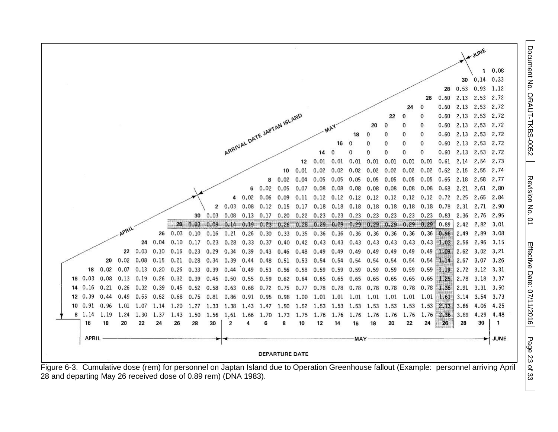|              |             |      |      |      |           |           |                      |           |                  |                             |                               |                   |             |                                       |          |                   |                                         |              |                  |                              | 30             | $0.14$ 0.33              |           |
|--------------|-------------|------|------|------|-----------|-----------|----------------------|-----------|------------------|-----------------------------|-------------------------------|-------------------|-------------|---------------------------------------|----------|-------------------|-----------------------------------------|--------------|------------------|------------------------------|----------------|--------------------------|-----------|
|              |             |      |      |      |           |           |                      |           |                  |                             |                               |                   |             |                                       |          |                   |                                         |              | 26               | 28<br>0.60                   | 0.53<br>2.13   | $0.93$ 1.12<br>2.53 2.72 |           |
|              |             |      |      |      |           |           |                      |           |                  |                             |                               |                   |             |                                       |          |                   |                                         | 24           | $\Omega$         | 0.60                         | 2.13           | 2.53 2.72                |           |
|              |             |      |      |      |           |           |                      |           |                  |                             | ARRIVAL DATE JAPTAN ISLAND    |                   |             |                                       |          |                   | 22                                      |              | 0                | 0.60                         | 2.13           | 2.53 2.72                |           |
|              |             |      |      |      |           |           |                      |           |                  |                             |                               |                   |             |                                       |          |                   |                                         | 0            | 0                | 0.60                         | 2.13           | 2.53 2.72                |           |
|              |             |      |      |      |           |           |                      |           |                  |                             |                               |                   |             |                                       | 18       |                   |                                         | 0            | $\Omega$         | 0.60                         | 2.13           | 2.53 2.72                |           |
|              |             |      |      |      |           |           |                      |           |                  |                             |                               |                   |             | 16                                    | $\Omega$ |                   |                                         | 0            | $\Omega$         | 0.60                         | 2.13           | 2.53 2.72                |           |
|              |             |      |      |      |           |           |                      |           |                  |                             |                               |                   | 14          | $\Omega$                              | ٥        | O                 |                                         | 0            | $\mathbf 0$      | 0.60                         | 2.13           | 2.53 2.72                |           |
|              |             |      |      |      |           |           |                      |           |                  |                             |                               | 12                | 0.01        | 0.01                                  | 0.01     |                   | $0.01$ $0.01$                           | 0.01         | 0.01             | $0.61$ $2.14$                |                | 2.54 2.73                |           |
|              |             |      |      |      |           |           |                      |           |                  |                             | 10                            | 0.01              | 0.02        | 0.02                                  | 0.02     | 0.02              | 0.02                                    | 0.02         | 0.02             | 0.62                         | 2.15           | 2.55 2.74                |           |
|              |             |      |      |      |           |           |                      |           |                  | 8                           | 0.02                          | 0.04              | 0.05        | 0.05                                  | 0.05     | 0.05              | 0.05                                    | 0.05         | 0.05             | 0.65                         | 2.18           | 2.58 2.77                |           |
|              |             |      |      |      |           |           |                      |           | 6                | 0.02                        | 0.05                          | 0.07              | 0.08        | 0.08                                  | 0.08     | 0.08              | 0.08                                    | 0.08         | 0.08             | 0.68                         | 2.21           | 2.61 2.80                |           |
|              |             |      |      |      |           |           | $\overline{2}$       | 4<br>0.03 | 0.02<br>0.08     | 0.06                        | 0.09<br>$0.12 \quad 0.15$     | 0.11<br>0.17      |             | $0.12$ $0.12$ $0.12$<br>$0.18$ $0.18$ | 0.18     | $0.12 \quad 0.12$ | $0.18$ 0.18                             | 0.12<br>0.18 | $0.18$ 0.78      | $0.12 \quad 0.72 \quad 2.25$ | 2.31 2.71 2.90 | 2.65                     | 2.84      |
|              |             |      |      |      |           | 30        | $0.03$ $0.08$ $0.13$ |           |                  | 0.17                        |                               | $0.20 \quad 0.22$ |             | $0.23$ $0.23$ $0.23$                  |          |                   | $0.23$ 0.23                             | 0.23         | 0.23             | 0.83                         | 2.36           | 2.76 2.95                |           |
|              |             |      |      |      |           | 28 0.03   |                      |           |                  | $0.09$ $0.14$ $0.19$ $0.23$ | 0.26                          | 0.28              |             |                                       |          |                   | $0.29$ 0.29 0.29 0.29 0.29 0.29 0.29    |              |                  | 0.89                         | 2.42           | 2,82 3,01                |           |
|              |             | PRIL |      | 26   | 0.03      | 0.10      | 0.16                 | 0.21      | 0.26             | 0.30                        | 0.33                          | 0.35              | 0.36        | 0.36                                  | 0.36     | 0.36              | 0.36                                    | 0.36         | 0.36             | 0.96                         | 2.49           | 2,89 3.08                |           |
|              |             |      | 24   | 0.04 | 0.10      | 0.17      | 0.23                 | 0.28      | 0.33             | 0.37                        | 0.40                          | 0.42              | 0.43        | 0.43                                  | 0.43     |                   | $0.43$ 0.43                             |              | $0.43$ $0.43$    | 1.03                         | 2.56           |                          | 2.96 3.15 |
|              |             | 22   | 0.03 | 0.10 | 0.16      | 0.23      | 0.29                 | 0.34      | 0.39             | 0.43                        | 0.46                          | 0.48              | 0.49        | 0.49                                  | 0.49     | 0.49              | 0.49                                    | 0.49         | 0.49             | 1.09                         | 2.62           | $3.02 \quad 3.21$        |           |
|              | 20          | 0.02 | 0.08 | 0.15 | 0.21      | 0.28      | 0.34                 | 0.39      | 0.44             | 0.48                        | 0.51                          | 0.53              | $0.54$ 0.54 |                                       | 0.54     | 0.54              | 0.54                                    | 0.54         | 0.54             | 1.14                         | 2.67           |                          | 3.07 3.26 |
| 18           | 0.02        | 0.07 | 0.13 | 0.20 | 0.26      | 0.33      | 0.39                 |           | $0.44\quad 0.49$ | 0.53                        | 0.56                          | 0.58              |             | 0.59 0.59                             | 0.59     | 0.59              | 0.59                                    | 0.59         | 0.59             | 1.19                         | 2.72           | $3.12 \quad 3.31$        |           |
| 16 0.03      | 0.08        | 0.13 | 0.19 | 0.26 | 0.32      | 0.39      | 0.45                 | 0.50      | 0.55             | 0.59                        | 0.62                          | 0.64              |             | $0.65$ 0.65                           | 0.65     |                   | $0.65$ 0.65                             | 0.65         | $0.65$ 1.25      |                              | 2.78           | 3.18 3.37                |           |
| 14 0.16      | 0.21        | 0.26 | 0.32 | 0.39 | 0.45      | 0.52      | 0.58                 | 0.63      | 0.68             |                             | 0.72 0.75 0.77                |                   |             | 0.78 0.78 0.78                        |          | 0.78 0.78         |                                         |              | $0.78$ 0.78 1.38 |                              | 2.91           | 3.31 3.50                |           |
| 12 0.39      | $0.44$ 0.49 |      | 0.55 | 0.62 | 0.68      | 0.75      | 0.81                 | 0.86      | 0.91             |                             | 0.95 0.98 1.00                |                   |             |                                       |          |                   | 1.01 1.01 1.01 1.01 1.01 1.01 1.01 1.61 |              |                  |                              | 3.14           |                          | 3.54 3.73 |
| $10 \t 0.91$ | 0.96        | 1.01 | 1.07 | 1.14 | 1.20 1.27 |           |                      |           |                  |                             | 1.33 1.38 1.43 1.47 1.50 1.52 |                   |             |                                       |          |                   | 1.53 1.53 1.53 1.53 1.53 1.53 1.53 2.13 |              |                  |                              | 3.66           |                          | 4.06 4.25 |
| 1.14         | 1.19        | 1.24 | 1.30 | 1.37 |           | 1.43 1.50 | 1.56 1.61 1.66       |           | Δ                | 1.70 1.73<br>6              |                               | 1.75              | 1.76        | 1.76                                  | 1.76     | 1.76              | 1.76                                    | 1.76         |                  | $1.76$ $2.36$                | 3.89           | 4.29<br>30               | 4.48      |
| 16           | 18          | 20   | 22   | 24   | 26        | 28        | 30                   | 2         |                  |                             | 8                             | 10                | 12          | 14                                    | 16       | 18                | 20                                      | 22           | 24               | 26                           | 28             |                          | 1         |
| APRIL        |             |      |      |      |           |           |                      |           |                  |                             |                               |                   |             |                                       | MAY      |                   |                                         |              |                  |                              |                |                          | JUNE      |

28 and departing May 26 received dose of 0.89 rem) (DNA 1983).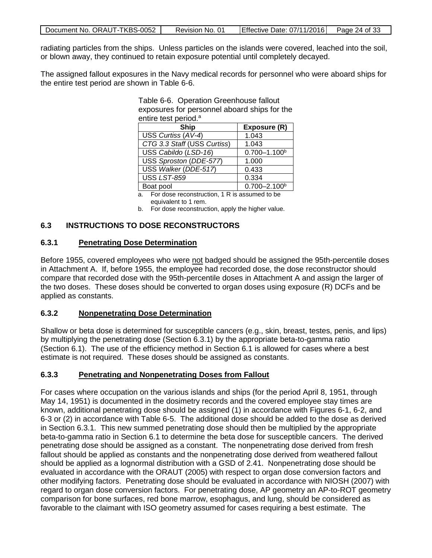| Document No. ORAUT-TKBS-0052 | Revision No. 01 | Effective Date: $07/11/2016$ Page 24 of 33 |  |
|------------------------------|-----------------|--------------------------------------------|--|

radiating particles from the ships. Unless particles on the islands were covered, leached into the soil, or blown away, they continued to retain exposure potential until completely decayed.

The assigned fallout exposures in the Navy medical records for personnel who were aboard ships for the entire test period are shown in Table 6-6.

Table 6-6. Operation Greenhouse fallout

| rapio o o: Oporation Oroormodoo ranodt       |                              |  |  |  |  |  |  |  |
|----------------------------------------------|------------------------------|--|--|--|--|--|--|--|
| exposures for personnel aboard ships for the |                              |  |  |  |  |  |  |  |
| entire test period. <sup>a</sup>             |                              |  |  |  |  |  |  |  |
| <b>Ship</b><br>Exposure (R)                  |                              |  |  |  |  |  |  |  |
| USS Curtiss (AV-4)                           | 1.043                        |  |  |  |  |  |  |  |
| CTG 3.3 Staff (USS Curtiss)                  | 1.043                        |  |  |  |  |  |  |  |
| USS Cabildo (LSD-16)                         | $0.700 - 1.100b$             |  |  |  |  |  |  |  |
| USS Sproston (DDE-577)                       | 1.000                        |  |  |  |  |  |  |  |
| USS Walker (DDE-517)                         | 0.433                        |  |  |  |  |  |  |  |
| <b>USS LST-859</b>                           | 0.334                        |  |  |  |  |  |  |  |
| Boat pool                                    | $0.700 - 2.100$ <sup>b</sup> |  |  |  |  |  |  |  |
|                                              |                              |  |  |  |  |  |  |  |

a. For dose reconstruction, 1 R is assumed to be equivalent to 1 rem.

b. For dose reconstruction, apply the higher value.

## **6.3 INSTRUCTIONS TO DOSE RECONSTRUCTORS**

## **6.3.1 Penetrating Dose Determination**

Before 1955, covered employees who were not badged should be assigned the 95th-percentile doses in Attachment A. If, before 1955, the employee had recorded dose, the dose reconstructor should compare that recorded dose with the 95th-percentile doses in Attachment A and assign the larger of the two doses. These doses should be converted to organ doses using exposure (R) DCFs and be applied as constants.

## **6.3.2 Nonpenetrating Dose Determination**

Shallow or beta dose is determined for susceptible cancers (e.g., skin, breast, testes, penis, and lips) by multiplying the penetrating dose (Section 6.3.1) by the appropriate beta-to-gamma ratio (Section 6.1). The use of the efficiency method in Section 6.1 is allowed for cases where a best estimate is not required. These doses should be assigned as constants.

## **6.3.3 Penetrating and Nonpenetrating Doses from Fallout**

For cases where occupation on the various islands and ships (for the period April 8, 1951, through May 14, 1951) is documented in the dosimetry records and the covered employee stay times are known, additional penetrating dose should be assigned (1) in accordance with Figures 6-1, 6-2, and 6-3 or (2) in accordance with Table 6-5. The additional dose should be added to the dose as derived in Section 6.3.1. This new summed penetrating dose should then be multiplied by the appropriate beta-to-gamma ratio in Section 6.1 to determine the beta dose for susceptible cancers. The derived penetrating dose should be assigned as a constant. The nonpenetrating dose derived from fresh fallout should be applied as constants and the nonpenetrating dose derived from weathered fallout should be applied as a lognormal distribution with a GSD of 2.41. Nonpenetrating dose should be evaluated in accordance with the ORAUT (2005) with respect to organ dose conversion factors and other modifying factors. Penetrating dose should be evaluated in accordance with NIOSH (2007) with regard to organ dose conversion factors. For penetrating dose, AP geometry an AP-to-ROT geometry comparison for bone surfaces, red bone marrow, esophagus, and lung, should be considered as favorable to the claimant with ISO geometry assumed for cases requiring a best estimate. The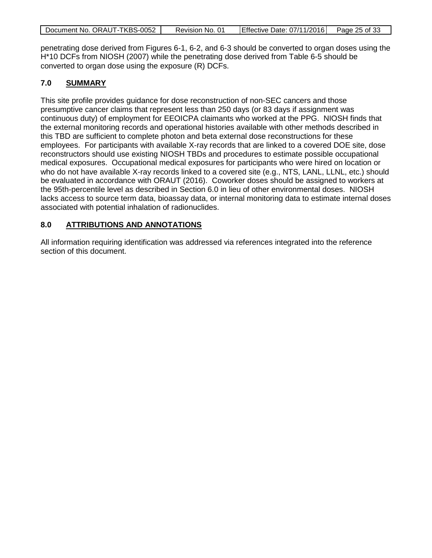| Document No. ORAUT-TKBS-0052 | Revision No. 01 | Effective Date: 07/11/2016 Page 25 of 33 |  |
|------------------------------|-----------------|------------------------------------------|--|
|                              |                 |                                          |  |

penetrating dose derived from Figures 6-1, 6-2, and 6-3 should be converted to organ doses using the H\*10 DCFs from NIOSH (2007) while the penetrating dose derived from Table 6-5 should be converted to organ dose using the exposure (R) DCFs.

# **7.0 SUMMARY**

This site profile provides guidance for dose reconstruction of non-SEC cancers and those presumptive cancer claims that represent less than 250 days (or 83 days if assignment was continuous duty) of employment for EEOICPA claimants who worked at the PPG. NIOSH finds that the external monitoring records and operational histories available with other methods described in this TBD are sufficient to complete photon and beta external dose reconstructions for these employees. For participants with available X-ray records that are linked to a covered DOE site, dose reconstructors should use existing NIOSH TBDs and procedures to estimate possible occupational medical exposures. Occupational medical exposures for participants who were hired on location or who do not have available X-ray records linked to a covered site (e.g., NTS, LANL, LLNL, etc.) should be evaluated in accordance with ORAUT (2016). Coworker doses should be assigned to workers at the 95th-percentile level as described in Section 6.0 in lieu of other environmental doses. NIOSH lacks access to source term data, bioassay data, or internal monitoring data to estimate internal doses associated with potential inhalation of radionuclides.

# **8.0 ATTRIBUTIONS AND ANNOTATIONS**

All information requiring identification was addressed via references integrated into the reference section of this document.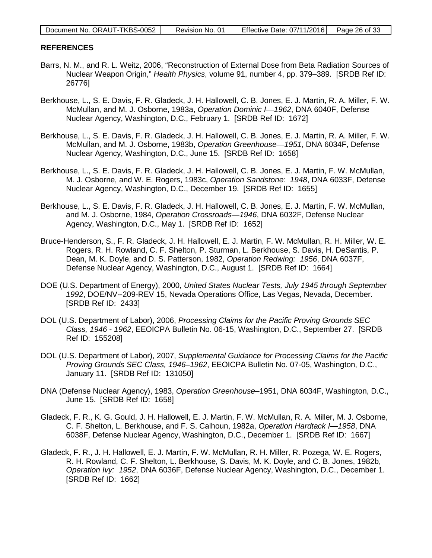| Document No. ORAUT-TKBS-0052 | Revision No. 01 | Effective Date: 07/11/2016 Page 26 of 33 |  |
|------------------------------|-----------------|------------------------------------------|--|
|                              |                 |                                          |  |

### **REFERENCES**

- Barrs, N. M., and R. L. Weitz, 2006, "Reconstruction of External Dose from Beta Radiation Sources of Nuclear Weapon Origin," *Health Physics*, volume 91, number 4, pp. 379–389. [SRDB Ref ID: 26776]
- Berkhouse, L., S. E. Davis, F. R. Gladeck, J. H. Hallowell, C. B. Jones, E. J. Martin, R. A. Miller, F. W. McMullan, and M. J. Osborne, 1983a, *Operation Dominic I—1962*, DNA 6040F, Defense Nuclear Agency, Washington, D.C., February 1. [SRDB Ref ID: 1672]
- Berkhouse, L., S. E. Davis, F. R. Gladeck, J. H. Hallowell, C. B. Jones, E. J. Martin, R. A. Miller, F. W. McMullan, and M. J. Osborne, 1983b, *Operation Greenhouse—1951*, DNA 6034F, Defense Nuclear Agency, Washington, D.C., June 15. [SRDB Ref ID: 1658]
- Berkhouse, L., S. E. Davis, F. R. Gladeck, J. H. Hallowell, C. B. Jones, E. J. Martin, F. W. McMullan, M. J. Osborne, and W. E. Rogers, 1983c, *Operation Sandstone: 1948*, DNA 6033F, Defense Nuclear Agency, Washington, D.C., December 19. [SRDB Ref ID: 1655]
- Berkhouse, L., S. E. Davis, F. R. Gladeck, J. H. Hallowell, C. B. Jones, E. J. Martin, F. W. McMullan, and M. J. Osborne, 1984, *Operation Crossroads—1946*, DNA 6032F, Defense Nuclear Agency, Washington, D.C., May 1. [SRDB Ref ID: 1652]
- Bruce-Henderson, S., F. R. Gladeck, J. H. Hallowell, E. J. Martin, F. W. McMullan, R. H. Miller, W. E. Rogers, R. H. Rowland, C. F. Shelton, P. Sturman, L. Berkhouse, S. Davis, H. DeSantis, P. Dean, M. K. Doyle, and D. S. Patterson, 1982, *Operation Redwing: 1956*, DNA 6037F, Defense Nuclear Agency, Washington, D.C., August 1. [SRDB Ref ID: 1664]
- DOE (U.S. Department of Energy), 2000, *United States Nuclear Tests, July 1945 through September 1992*, DOE/NV--209-REV 15, Nevada Operations Office, Las Vegas, Nevada, December. [SRDB Ref ID: 2433]
- DOL (U.S. Department of Labor), 2006, *Processing Claims for the Pacific Proving Grounds SEC Class, 1946 - 1962*, EEOICPA Bulletin No. 06-15, Washington, D.C., September 27. [SRDB Ref ID: 155208]
- DOL (U.S. Department of Labor), 2007, *Supplemental Guidance for Processing Claims for the Pacific Proving Grounds SEC Class, 1946–1962*, EEOICPA Bulletin No. 07-05, Washington, D.C., January 11. [SRDB Ref ID: 131050]
- DNA (Defense Nuclear Agency), 1983, *Operation Greenhouse*–1951, DNA 6034F, Washington, D.C., June 15. [SRDB Ref ID: 1658]
- Gladeck, F. R., K. G. Gould, J. H. Hallowell, E. J. Martin, F. W. McMullan, R. A. Miller, M. J. Osborne, C. F. Shelton, L. Berkhouse, and F. S. Calhoun, 1982a, *Operation Hardtack I—1958*, DNA 6038F, Defense Nuclear Agency, Washington, D.C., December 1. [SRDB Ref ID: 1667]
- Gladeck, F. R., J. H. Hallowell, E. J. Martin, F. W. McMullan, R. H. Miller, R. Pozega, W. E. Rogers, R. H. Rowland, C. F. Shelton, L. Berkhouse, S. Davis, M. K. Doyle, and C. B. Jones, 1982b, *Operation Ivy: 1952*, DNA 6036F, Defense Nuclear Agency, Washington, D.C., December 1. [SRDB Ref ID: 1662]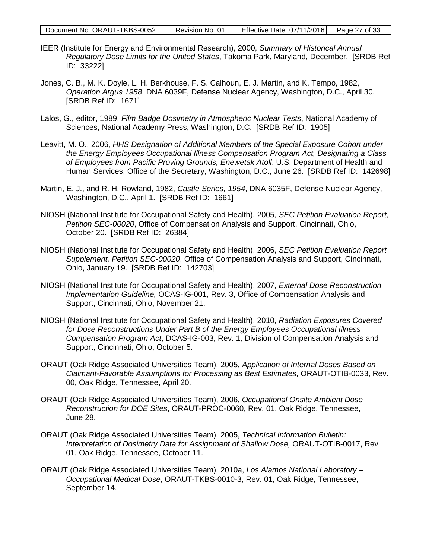- IEER (Institute for Energy and Environmental Research), 2000, *Summary of Historical Annual Regulatory Dose Limits for the United States*, Takoma Park, Maryland, December. [SRDB Ref ID: 33222]
- Jones, C. B., M. K. Doyle, L. H. Berkhouse, F. S. Calhoun, E. J. Martin, and K. Tempo, 1982, *Operation Argus 1958*, DNA 6039F, Defense Nuclear Agency, Washington, D.C., April 30. [SRDB Ref ID: 1671]
- Lalos, G., editor, 1989, *Film Badge Dosimetry in Atmospheric Nuclear Tests*, National Academy of Sciences, National Academy Press, Washington, D.C. [SRDB Ref ID: 1905]
- Leavitt, M. O., 2006, *HHS Designation of Additional Members of the Special Exposure Cohort under the Energy Employees Occupational Illness Compensation Program Act, Designating a Class of Employees from Pacific Proving Grounds, Enewetak Atoll*, U.S. Department of Health and Human Services, Office of the Secretary, Washington, D.C., June 26. [SRDB Ref ID: 142698]
- Martin, E. J., and R. H. Rowland, 1982, *Castle Series, 1954*, DNA 6035F, Defense Nuclear Agency, Washington, D.C., April 1. [SRDB Ref ID: 1661]
- NIOSH (National Institute for Occupational Safety and Health), 2005, *SEC Petition Evaluation Report, Petition SEC-00020*, Office of Compensation Analysis and Support, Cincinnati, Ohio, October 20. [SRDB Ref ID: 26384]
- NIOSH (National Institute for Occupational Safety and Health), 2006, *SEC Petition Evaluation Report Supplement, Petition SEC-00020*, Office of Compensation Analysis and Support, Cincinnati, Ohio, January 19. [SRDB Ref ID: 142703]
- NIOSH (National Institute for Occupational Safety and Health), 2007, *External Dose Reconstruction Implementation Guideline,* OCAS-IG-001, Rev. 3, Office of Compensation Analysis and Support, Cincinnati, Ohio, November 21.
- NIOSH (National Institute for Occupational Safety and Health), 2010, *Radiation Exposures Covered for Dose Reconstructions Under Part B of the Energy Employees Occupational Illness Compensation Program Act*, DCAS-IG-003, Rev. 1, Division of Compensation Analysis and Support, Cincinnati, Ohio, October 5.
- ORAUT (Oak Ridge Associated Universities Team), 2005, *Application of Internal Doses Based on Claimant-Favorable Assumptions for Processing as Best Estimates*, ORAUT-OTIB-0033, Rev. 00, Oak Ridge, Tennessee, April 20.
- ORAUT (Oak Ridge Associated Universities Team), 2006, *Occupational Onsite Ambient Dose Reconstruction for DOE Sites*, ORAUT-PROC-0060, Rev. 01, Oak Ridge, Tennessee, June 28.
- ORAUT (Oak Ridge Associated Universities Team), 2005, *Technical Information Bulletin: Interpretation of Dosimetry Data for Assignment of Shallow Dose,* ORAUT-OTIB-0017, Rev 01, Oak Ridge, Tennessee, October 11.
- ORAUT (Oak Ridge Associated Universities Team), 2010a, *Los Alamos National Laboratory – Occupational Medical Dose*, ORAUT-TKBS-0010-3, Rev. 01, Oak Ridge, Tennessee, September 14.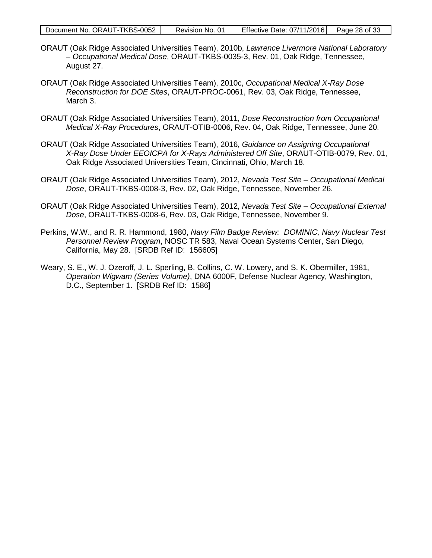- ORAUT (Oak Ridge Associated Universities Team), 2010b, *Lawrence Livermore National Laboratory – Occupational Medical Dose*, ORAUT-TKBS-0035-3, Rev. 01, Oak Ridge, Tennessee, August 27.
- ORAUT (Oak Ridge Associated Universities Team), 2010c, *Occupational Medical X-Ray Dose Reconstruction for DOE Sites*, ORAUT-PROC-0061, Rev. 03, Oak Ridge, Tennessee, March 3.
- ORAUT (Oak Ridge Associated Universities Team), 2011, *Dose Reconstruction from Occupational Medical X-Ray Procedures*, ORAUT-OTIB-0006, Rev. 04, Oak Ridge, Tennessee, June 20.
- ORAUT (Oak Ridge Associated Universities Team), 2016, *Guidance on Assigning Occupational X-Ray Dose Under EEOICPA for X-Rays Administered Off Site*, ORAUT-OTIB-0079, Rev. 01, Oak Ridge Associated Universities Team, Cincinnati, Ohio, March 18.
- ORAUT (Oak Ridge Associated Universities Team), 2012, *Nevada Test Site – Occupational Medical Dose*, ORAUT-TKBS-0008-3, Rev. 02, Oak Ridge, Tennessee, November 26.
- ORAUT (Oak Ridge Associated Universities Team), 2012, *Nevada Test Site – Occupational External Dose*, ORAUT-TKBS-0008-6, Rev. 03, Oak Ridge, Tennessee, November 9.
- Perkins, W.W., and R. R. Hammond, 1980, *Navy Film Badge Review: DOMINIC, Navy Nuclear Test Personnel Review Program*, NOSC TR 583, Naval Ocean Systems Center, San Diego, California, May 28. [SRDB Ref ID: 156605]
- Weary, S. E., W. J. Ozeroff, J. L. Sperling, B. Collins, C. W. Lowery, and S. K. Obermiller, 1981, *Operation Wigwam (Series Volume)*, DNA 6000F, Defense Nuclear Agency, Washington, D.C., September 1. [SRDB Ref ID: 1586]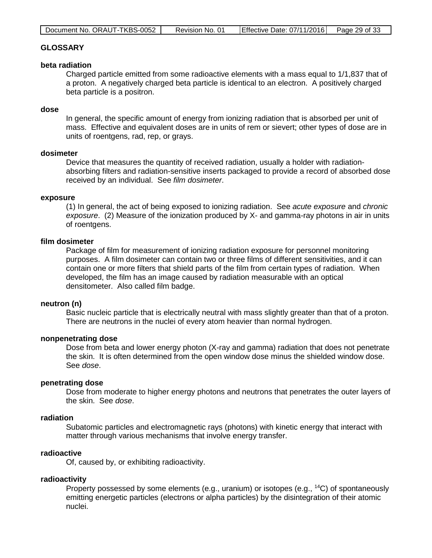## **GLOSSARY**

#### **beta radiation**

Charged particle emitted from some radioactive elements with a mass equal to 1/1,837 that of a proton. A negatively charged beta particle is identical to an electron. A positively charged beta particle is a positron.

### **dose**

In general, the specific amount of energy from ionizing radiation that is absorbed per unit of mass. Effective and equivalent doses are in units of rem or sievert; other types of dose are in units of roentgens, rad, rep, or grays.

#### **dosimeter**

Device that measures the quantity of received radiation, usually a holder with radiationabsorbing filters and radiation-sensitive inserts packaged to provide a record of absorbed dose received by an individual. See *film dosimeter*.

#### **exposure**

(1) In general, the act of being exposed to ionizing radiation. See *acute exposure* and *chronic exposure*. (2) Measure of the ionization produced by X- and gamma-ray photons in air in units of roentgens.

### **film dosimeter**

Package of film for measurement of ionizing radiation exposure for personnel monitoring purposes. A film dosimeter can contain two or three films of different sensitivities, and it can contain one or more filters that shield parts of the film from certain types of radiation. When developed, the film has an image caused by radiation measurable with an optical densitometer. Also called film badge.

#### **neutron (n)**

Basic nucleic particle that is electrically neutral with mass slightly greater than that of a proton. There are neutrons in the nuclei of every atom heavier than normal hydrogen.

#### **nonpenetrating dose**

Dose from beta and lower energy photon (X-ray and gamma) radiation that does not penetrate the skin. It is often determined from the open window dose minus the shielded window dose. See *dose*.

#### **penetrating dose**

Dose from moderate to higher energy photons and neutrons that penetrates the outer layers of the skin. See *dose*.

## **radiation**

Subatomic particles and electromagnetic rays (photons) with kinetic energy that interact with matter through various mechanisms that involve energy transfer.

#### **radioactive**

Of, caused by, or exhibiting radioactivity.

## **radioactivity**

Property possessed by some elements (e.g., uranium) or isotopes (e.g., <sup>14</sup>C) of spontaneously emitting energetic particles (electrons or alpha particles) by the disintegration of their atomic nuclei.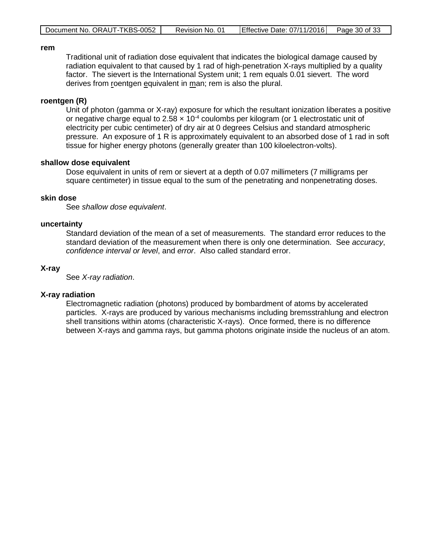#### **rem**

Traditional unit of radiation dose equivalent that indicates the biological damage caused by radiation equivalent to that caused by 1 rad of high-penetration X-rays multiplied by a quality factor. The sievert is the International System unit; 1 rem equals 0.01 sievert. The word derives from roentgen equivalent in man; rem is also the plural.

## **roentgen (R)**

Unit of photon (gamma or X-ray) exposure for which the resultant ionization liberates a positive or negative charge equal to 2.58  $\times$  10<sup>-4</sup> coulombs per kilogram (or 1 electrostatic unit of electricity per cubic centimeter) of dry air at 0 degrees Celsius and standard atmospheric pressure. An exposure of 1 R is approximately equivalent to an absorbed dose of 1 rad in soft tissue for higher energy photons (generally greater than 100 kiloelectron-volts).

## **shallow dose equivalent**

Dose equivalent in units of rem or sievert at a depth of 0.07 millimeters (7 milligrams per square centimeter) in tissue equal to the sum of the penetrating and nonpenetrating doses.

## **skin dose**

See *shallow dose equivalent*.

#### **uncertainty**

Standard deviation of the mean of a set of measurements. The standard error reduces to the standard deviation of the measurement when there is only one determination. See *accuracy*, *confidence interval or level*, and *error*. Also called standard error.

#### **X-ray**

See *X-ray radiation*.

## **X-ray radiation**

Electromagnetic radiation (photons) produced by bombardment of atoms by accelerated particles. X-rays are produced by various mechanisms including bremsstrahlung and electron shell transitions within atoms (characteristic X-rays). Once formed, there is no difference between X-rays and gamma rays, but gamma photons originate inside the nucleus of an atom.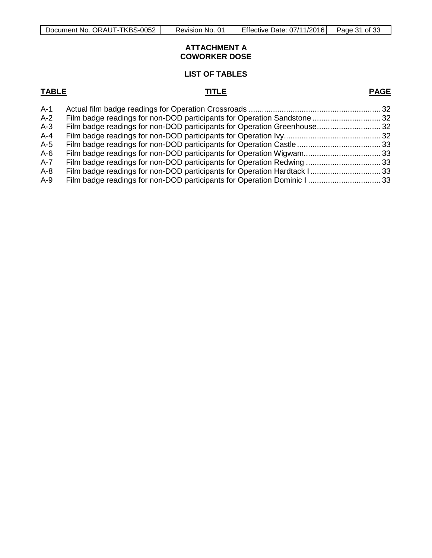## **ATTACHMENT A COWORKER DOSE**

# **LIST OF TABLES**

### **TABLE TITLE PAGE**

| $A-1$   |                                                                          |  |
|---------|--------------------------------------------------------------------------|--|
| $A-2$   | Film badge readings for non-DOD participants for Operation Sandstone  32 |  |
| $A-3$   | Film badge readings for non-DOD participants for Operation Greenhouse32  |  |
| $A - 4$ |                                                                          |  |
| A-5     |                                                                          |  |
| A-6     | Film badge readings for non-DOD participants for Operation Wigwam 33     |  |
| $A - 7$ |                                                                          |  |
| A-8     |                                                                          |  |
| A-9     |                                                                          |  |
|         |                                                                          |  |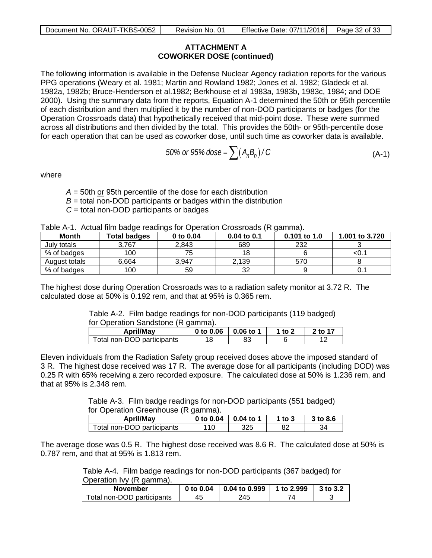# **ATTACHMENT A COWORKER DOSE (continued)**

The following information is available in the Defense Nuclear Agency radiation reports for the various PPG operations (Weary et al. 1981; Martin and Rowland 1982; Jones et al. 1982; Gladeck et al. 1982a, 1982b; Bruce-Henderson et al.1982; Berkhouse et al 1983a, 1983b, 1983c, 1984; and DOE 2000). Using the summary data from the reports, Equation A-1 determined the 50th or 95th percentile of each distribution and then multiplied it by the number of non-DOD participants or badges (for the Operation Crossroads data) that hypothetically received that mid-point dose. These were summed across all distributions and then divided by the total. This provides the 50th- or 95th-percentile dose for each operation that can be used as coworker dose, until such time as coworker data is available.

<span id="page-31-0"></span>50% or 95% dose = 
$$
\sum (A_n B_n) / C
$$
 (A-1)

where

*A* = 50th or 95th percentile of the dose for each distribution *B* = total non-DOD participants or badges within the distribution *C* = total non-DOD participants or badges

| able ATT. Actual film bauge readings for Operation Crossivaus (IX gamma). |                     |             |                 |                |                |  |  |  |  |  |
|---------------------------------------------------------------------------|---------------------|-------------|-----------------|----------------|----------------|--|--|--|--|--|
| <b>Month</b>                                                              | <b>Total badges</b> | 0 to $0.04$ | $0.04$ to $0.1$ | $0.101$ to 1.0 | 1.001 to 3.720 |  |  |  |  |  |
| July totals                                                               | 3.767               | 2,843       | 689             | 232            |                |  |  |  |  |  |
| % of badges                                                               | 100                 | 75          | 18              |                | <0.1           |  |  |  |  |  |
| August totals                                                             | 6.664               | 3.947       | 2.139           | 570            |                |  |  |  |  |  |
| % of badges                                                               | 100                 | 59          | 32              |                |                |  |  |  |  |  |

Table A-1. Actual film badge readings for Operation Crossroads (R gamma).

The highest dose during Operation Crossroads was to a radiation safety monitor at 3.72 R. The calculated dose at 50% is 0.192 rem, and that at 95% is 0.365 rem.

> Table A-2. Film badge readings for non-DOD participants (119 badged) for Operation Sandstone (R gamma).

<span id="page-31-1"></span>

| April/May                  | $0$ to $0.06$ | 0.06 to | 1 to 2 | 2 to 17 |
|----------------------------|---------------|---------|--------|---------|
| Total non-DOD participants |               |         |        |         |

Eleven individuals from the Radiation Safety group received doses above the imposed standard of 3 R. The highest dose received was 17 R. The average dose for all participants (including DOD) was 0.25 R with 65% receiving a zero recorded exposure. The calculated dose at 50% is 1.236 rem, and that at 95% is 2.348 rem.

> Table A-3. Film badge readings for non-DOD participants (551 badged) for Operation Greenhouse (R gamma)

<span id="page-31-2"></span>

| ivi Oporation Oroomioaoo (it gamma). |           |           |        |          |
|--------------------------------------|-----------|-----------|--------|----------|
| <b>April/May</b>                     | 0 to 0.04 | 0.04 to 1 | 1 to 3 | 3 to 8.6 |
| Total non-DOD participants           | 110       | 325       | 82     | 34       |

The average dose was 0.5 R. The highest dose received was 8.6 R. The calculated dose at 50% is 0.787 rem, and that at 95% is 1.813 rem.

> Table A-4. Film badge readings for non-DOD participants (367 badged) for Operation Ivy (R gamma).

<span id="page-31-3"></span>

| <b>November</b>            | 0 to $0.04$ | 0.04 to 0.999 | 1 to 2.999 | 3 to 3.2 |
|----------------------------|-------------|---------------|------------|----------|
| Total non-DOD participants | 45          | 245           |            |          |